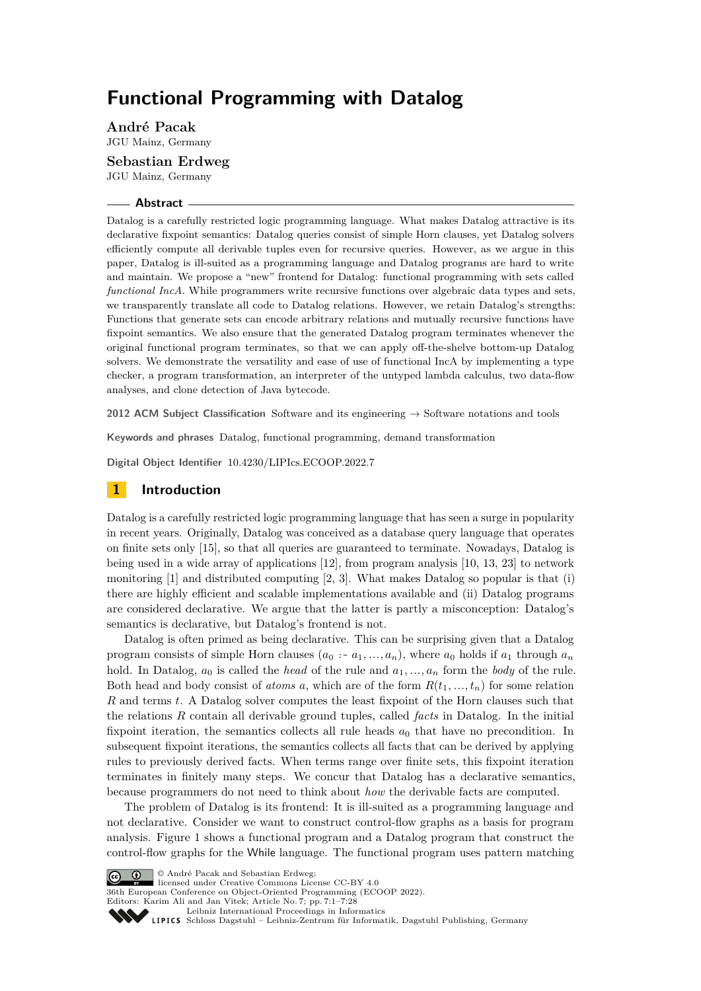# **Functional Programming with Datalog**

**André Pacak** JGU Mainz, Germany

**Sebastian Erdweg** JGU Mainz, Germany

#### **Abstract**

Datalog is a carefully restricted logic programming language. What makes Datalog attractive is its declarative fixpoint semantics: Datalog queries consist of simple Horn clauses, yet Datalog solvers efficiently compute all derivable tuples even for recursive queries. However, as we argue in this paper, Datalog is ill-suited as a programming language and Datalog programs are hard to write and maintain. We propose a "new" frontend for Datalog: functional programming with sets called *functional IncA*. While programmers write recursive functions over algebraic data types and sets, we transparently translate all code to Datalog relations. However, we retain Datalog's strengths: Functions that generate sets can encode arbitrary relations and mutually recursive functions have fixpoint semantics. We also ensure that the generated Datalog program terminates whenever the original functional program terminates, so that we can apply off-the-shelve bottom-up Datalog solvers. We demonstrate the versatility and ease of use of functional IncA by implementing a type checker, a program transformation, an interpreter of the untyped lambda calculus, two data-flow analyses, and clone detection of Java bytecode.

**2012 ACM Subject Classification** Software and its engineering → Software notations and tools

**Keywords and phrases** Datalog, functional programming, demand transformation

**Digital Object Identifier** [10.4230/LIPIcs.ECOOP.2022.7](https://doi.org/10.4230/LIPIcs.ECOOP.2022.7)

# **1 Introduction**

Datalog is a carefully restricted logic programming language that has seen a surge in popularity in recent years. Originally, Datalog was conceived as a database query language that operates on finite sets only [\[15\]](#page-26-0), so that all queries are guaranteed to terminate. Nowadays, Datalog is being used in a wide array of applications [\[12\]](#page-26-1), from program analysis [\[10,](#page-25-0) [13,](#page-26-2) [23\]](#page-26-3) to network monitoring  $[1]$  and distributed computing  $[2, 3]$  $[2, 3]$  $[2, 3]$ . What makes Datalog so popular is that  $(i)$ there are highly efficient and scalable implementations available and (ii) Datalog programs are considered declarative. We argue that the latter is partly a misconception: Datalog's semantics is declarative, but Datalog's frontend is not.

Datalog is often primed as being declarative. This can be surprising given that a Datalog program consists of simple Horn clauses  $(a_0 : a_1, \ldots, a_n)$ , where  $a_0$  holds if  $a_1$  through  $a_n$ hold. In Datalog,  $a_0$  is called the *head* of the rule and  $a_1, \ldots, a_n$  form the *body* of the rule. Both head and body consist of *atoms a*, which are of the form  $R(t_1, \ldots, t_n)$  for some relation *R* and terms *t*. A Datalog solver computes the least fixpoint of the Horn clauses such that the relations *R* contain all derivable ground tuples, called *facts* in Datalog. In the initial fixpoint iteration, the semantics collects all rule heads  $a_0$  that have no precondition. In subsequent fixpoint iterations, the semantics collects all facts that can be derived by applying rules to previously derived facts. When terms range over finite sets, this fixpoint iteration terminates in finitely many steps. We concur that Datalog has a declarative semantics, because programmers do not need to think about *how* the derivable facts are computed.

The problem of Datalog is its frontend: It is ill-suited as a programming language and not declarative. Consider we want to construct control-flow graphs as a basis for program analysis. [Figure 1](#page-1-0) shows a functional program and a Datalog program that construct the control-flow graphs for the While language. The functional program uses pattern matching



licensed under Creative Commons License CC-BY 4.0

© André Pacak and Sebastian Erdweg;

36th European Conference on Object-Oriented Programming (ECOOP 2022).

Editors: Karim Ali and Jan Vitek; Article No. 7; pp. 7:1–7:28

[Leibniz International Proceedings in Informatics](https://www.dagstuhl.de/lipics/)

Leibniz International Froceedings in Informatik, Dagstuhl Publishing, Germany<br>LIPICS [Schloss Dagstuhl – Leibniz-Zentrum für Informatik, Dagstuhl Publishing, Germany](https://www.dagstuhl.de)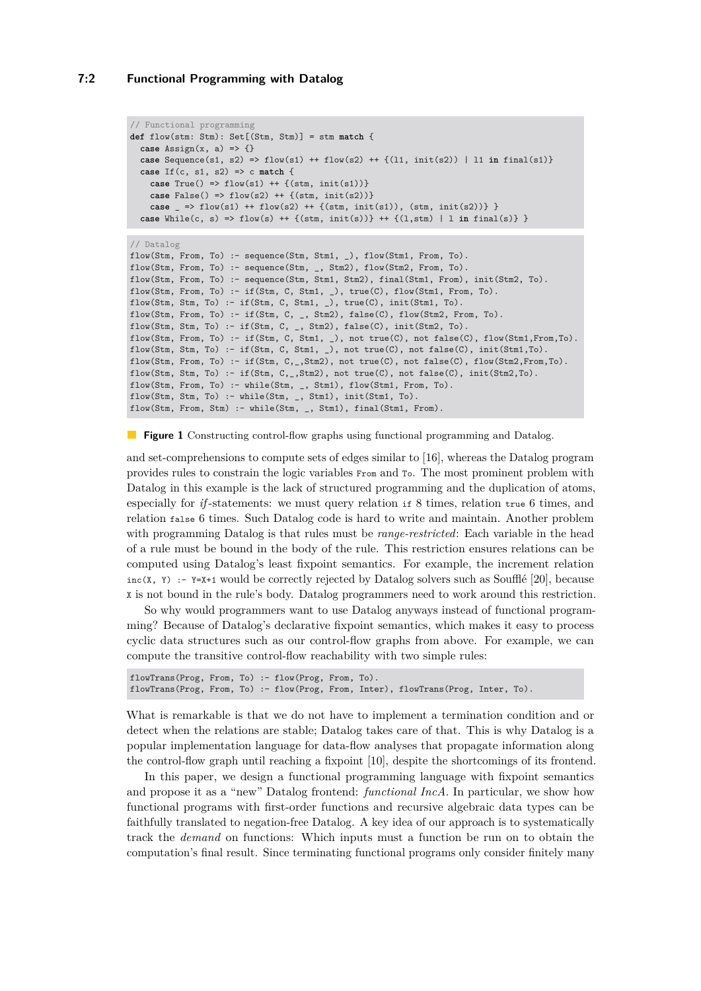### **7:2 Functional Programming with Datalog**

```
// Functional programming
def flow(stm: Stm): Set[(Stm, Stm)] = stm match {
  case Assign(x, a) \Rightarrow \{\}case Sequence(s1, s2) => flow(s1) ++ flow(s2) ++ {(l1, init(s2)) | l1 in final(s1)}
  case If(c, s1, s2) => c match {
    case True() => flow(s1) ++ {(stm, init(s1))}case False() => flow(s2) ++ \{(stm, init(s2))\}case _ => flow(s1) ++ flow(s2) ++ {(stm, init(s1)), (stm, init(s2))} }
  case While(c, s) => flow(s) ++ {(stm, init(s))} ++ {(l,stm) | l in final(s)} }
```

```
// Datalog
flow(Stm, From, To) :- sequence(Stm, Stm1, _), flow(Stm1, From, To).
flow(Stm, From, To) :- sequence(Stm, _, Stm2), flow(Stm2, From, To).
flow(Stm, From, To) :- sequence(Stm, Stm1, Stm2), final(Stm1, From), init(Stm2, To).
flow(Stm, From, To) := if(Stm, C, Stm1, _), true(C), flow(Stm1, From, To).flow(Stm, Stm, To) :- if(Stm, C, Stm1, _), true(C), init(Stm1, To).
flow(Stm, From, To) :- if(Stm, C, _, Stm2), false(C), flow(Stm2, From, To).
flow(Stm, Stm, To) := if(Stm, C, _s, Stm2), false(C), init(Stm2, To).flow(Stm, From, To) :- if(Stm, C, Stm1, _), not true(C), not false(C), flow(Stm1,From,To).
flow(Stm, Stm, To) :- if(Stm, C, Stm1, _), not true(C), not false(C), init(Stm1,To).
flow(Stm, From, To) :- if(Stm, C,_,Stm2), not true(C), not false(C), flow(Stm2,From,To).
flow(Stm, Stm, To) :- if(Stm, C_{1,2}, Stm2), not true(C), not false(C), init(Stm2,To).
flow(Stm, From, To) :- while(Stm, _, Stm1), flow(Stm1, From, To).
flow(Stm, Stm, To) :- while(Stm, _, Stm1), init(Stm1, To).
flow(Stm, From, Stm) :- while(Stm, _, Stm1), final(Stm1, From).
```
**Figure 1** Constructing control-flow graphs using functional programming and Datalog.

and set-comprehensions to compute sets of edges similar to [\[16\]](#page-26-4), whereas the Datalog program provides rules to constrain the logic variables From and To. The most prominent problem with Datalog in this example is the lack of structured programming and the duplication of atoms, especially for *if*-statements: we must query relation if 8 times, relation true 6 times, and relation false 6 times. Such Datalog code is hard to write and maintain. Another problem with programming Datalog is that rules must be *range-restricted*: Each variable in the head of a rule must be bound in the body of the rule. This restriction ensures relations can be computed using Datalog's least fixpoint semantics. For example, the increment relation inc(X, Y) :- Y=X+1 would be correctly rejected by Datalog solvers such as Soufflé [\[20\]](#page-26-5), because X is not bound in the rule's body. Datalog programmers need to work around this restriction.

So why would programmers want to use Datalog anyways instead of functional programming? Because of Datalog's declarative fixpoint semantics, which makes it easy to process cyclic data structures such as our control-flow graphs from above. For example, we can compute the transitive control-flow reachability with two simple rules:

```
flowTrans(Prog, From, To) :- flow(Prog, From, To).
flowTrans(Prog, From, To) :- flow(Prog, From, Inter), flowTrans(Prog, Inter, To).
```
What is remarkable is that we do not have to implement a termination condition and or detect when the relations are stable; Datalog takes care of that. This is why Datalog is a popular implementation language for data-flow analyses that propagate information along the control-flow graph until reaching a fixpoint [\[10\]](#page-25-0), despite the shortcomings of its frontend.

In this paper, we design a functional programming language with fixpoint semantics and propose it as a "new" Datalog frontend: *functional IncA*. In particular, we show how functional programs with first-order functions and recursive algebraic data types can be faithfully translated to negation-free Datalog. A key idea of our approach is to systematically track the *demand* on functions: Which inputs must a function be run on to obtain the computation's final result. Since terminating functional programs only consider finitely many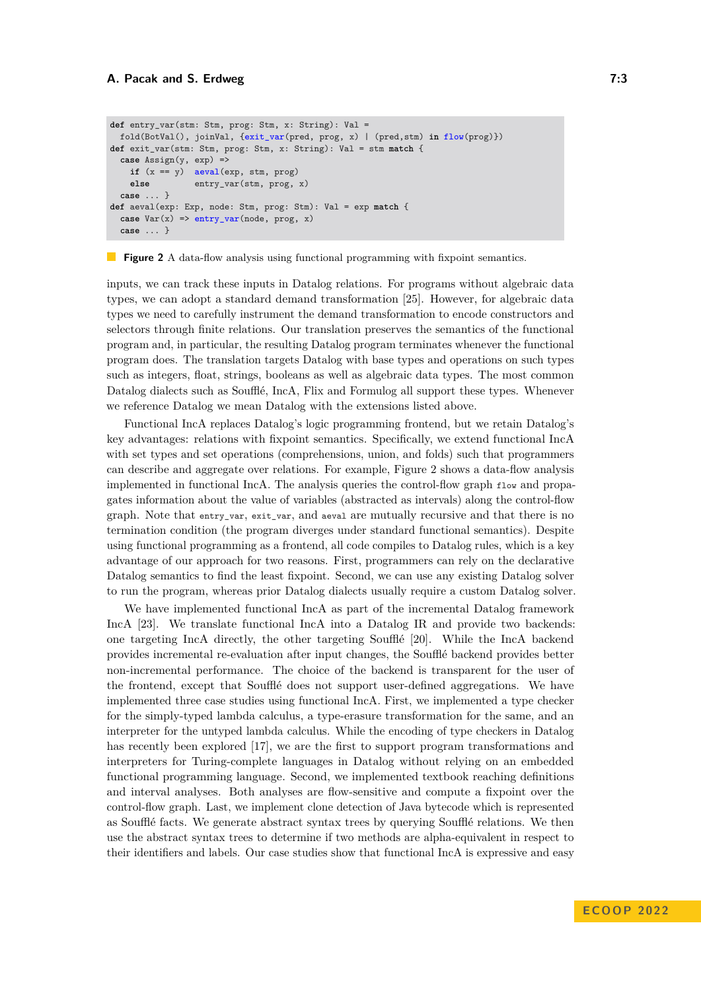```
def entry_var(stm: Stm, prog: Stm, x: String): Val =
 fold(BotVal(), joinVal, {exit_var(pred, prog, x) | (pred,stm) in flow(prog)})
def exit_var(stm: Stm, prog: Stm, x: String): Val = stm match {
 case Assign(y, exp) =>
   if (x == y) aeval(exp, stm, prog)else entry_var(stm, prog, x)
 case ... }
def aeval(exp: Exp, node: Stm, prog: Stm): Val = exp match {
 case Var(x) => entry_var(node, prog, x)
 case ... }
```
#### **Figure 2** A data-flow analysis using functional programming with fixpoint semantics.

inputs, we can track these inputs in Datalog relations. For programs without algebraic data types, we can adopt a standard demand transformation [\[25\]](#page-26-6). However, for algebraic data types we need to carefully instrument the demand transformation to encode constructors and selectors through finite relations. Our translation preserves the semantics of the functional program and, in particular, the resulting Datalog program terminates whenever the functional program does. The translation targets Datalog with base types and operations on such types such as integers, float, strings, booleans as well as algebraic data types. The most common Datalog dialects such as Soufflé, IncA, Flix and Formulog all support these types. Whenever we reference Datalog we mean Datalog with the extensions listed above.

Functional IncA replaces Datalog's logic programming frontend, but we retain Datalog's key advantages: relations with fixpoint semantics. Specifically, we extend functional IncA with set types and set operations (comprehensions, union, and folds) such that programmers can describe and aggregate over relations. For example, [Figure 2](#page-2-0) shows a data-flow analysis implemented in functional IncA. The analysis queries the control-flow graph flow and propagates information about the value of variables (abstracted as intervals) along the control-flow graph. Note that entry var, exit var, and aeval are mutually recursive and that there is no termination condition (the program diverges under standard functional semantics). Despite using functional programming as a frontend, all code compiles to Datalog rules, which is a key advantage of our approach for two reasons. First, programmers can rely on the declarative Datalog semantics to find the least fixpoint. Second, we can use any existing Datalog solver to run the program, whereas prior Datalog dialects usually require a custom Datalog solver.

We have implemented functional IncA as part of the incremental Datalog framework IncA [\[23\]](#page-26-3). We translate functional IncA into a Datalog IR and provide two backends: one targeting IncA directly, the other targeting Soufflé [\[20\]](#page-26-5). While the IncA backend provides incremental re-evaluation after input changes, the Soufflé backend provides better non-incremental performance. The choice of the backend is transparent for the user of the frontend, except that Soufflé does not support user-defined aggregations. We have implemented three case studies using functional IncA. First, we implemented a type checker for the simply-typed lambda calculus, a type-erasure transformation for the same, and an interpreter for the untyped lambda calculus. While the encoding of type checkers in Datalog has recently been explored [\[17\]](#page-26-7), we are the first to support program transformations and interpreters for Turing-complete languages in Datalog without relying on an embedded functional programming language. Second, we implemented textbook reaching definitions and interval analyses. Both analyses are flow-sensitive and compute a fixpoint over the control-flow graph. Last, we implement clone detection of Java bytecode which is represented as Soufflé facts. We generate abstract syntax trees by querying Soufflé relations. We then use the abstract syntax trees to determine if two methods are alpha-equivalent in respect to their identifiers and labels. Our case studies show that functional IncA is expressive and easy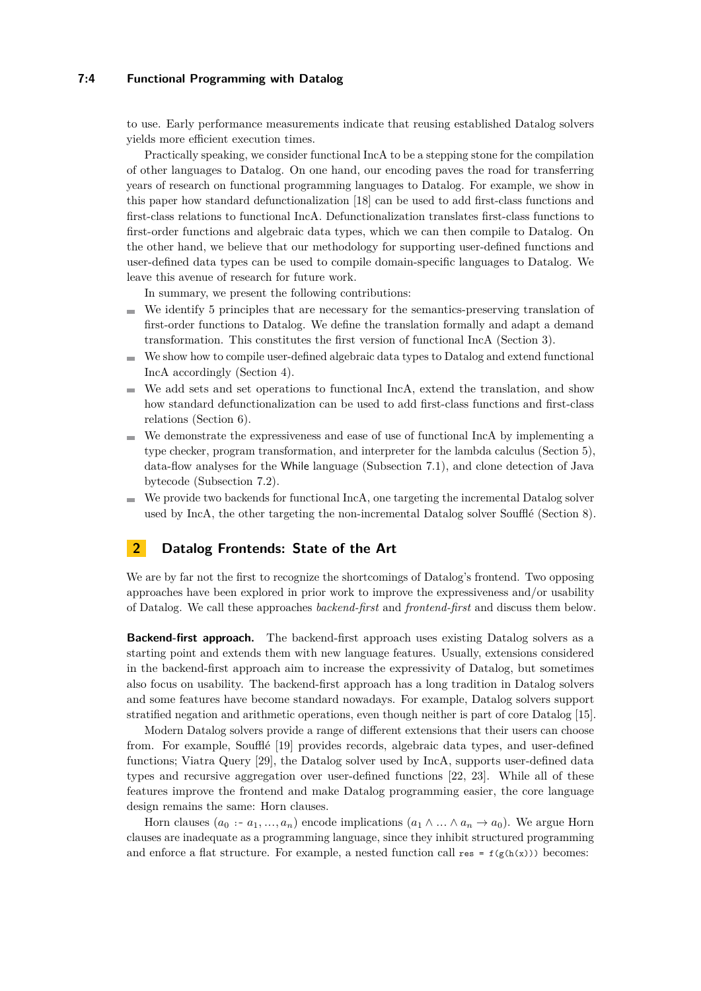### **7:4 Functional Programming with Datalog**

to use. Early performance measurements indicate that reusing established Datalog solvers yields more efficient execution times.

Practically speaking, we consider functional IncA to be a stepping stone for the compilation of other languages to Datalog. On one hand, our encoding paves the road for transferring years of research on functional programming languages to Datalog. For example, we show in this paper how standard defunctionalization [\[18\]](#page-26-8) can be used to add first-class functions and first-class relations to functional IncA. Defunctionalization translates first-class functions to first-order functions and algebraic data types, which we can then compile to Datalog. On the other hand, we believe that our methodology for supporting user-defined functions and user-defined data types can be used to compile domain-specific languages to Datalog. We leave this avenue of research for future work.

In summary, we present the following contributions:

- We identify 5 principles that are necessary for the semantics-preserving translation of m. first-order functions to Datalog. We define the translation formally and adapt a demand transformation. This constitutes the first version of functional IncA [\(Section 3\)](#page-5-0).
- We show how to compile user-defined algebraic data types to Datalog and extend functional  $\sim$ IncA accordingly [\(Section 4\)](#page-11-0).
- We add sets and set operations to functional IncA, extend the translation, and show how standard defunctionalization can be used to add first-class functions and first-class relations [\(Section 6\)](#page-15-0).
- We demonstrate the expressiveness and ease of use of functional IncA by implementing a type checker, program transformation, and interpreter for the lambda calculus [\(Section 5\)](#page-14-0), data-flow analyses for the While language [\(Subsection 7.1\)](#page-19-0), and clone detection of Java bytecode [\(Subsection 7.2\)](#page-20-0).
- We provide two backends for functional IncA, one targeting the incremental Datalog solver used by IncA, the other targeting the non-incremental Datalog solver Soufflé [\(Section 8\)](#page-21-0).

# **2 Datalog Frontends: State of the Art**

We are by far not the first to recognize the shortcomings of Datalog's frontend. Two opposing approaches have been explored in prior work to improve the expressiveness and/or usability of Datalog. We call these approaches *backend-first* and *frontend-first* and discuss them below.

**Backend-first approach.** The backend-first approach uses existing Datalog solvers as a starting point and extends them with new language features. Usually, extensions considered in the backend-first approach aim to increase the expressivity of Datalog, but sometimes also focus on usability. The backend-first approach has a long tradition in Datalog solvers and some features have become standard nowadays. For example, Datalog solvers support stratified negation and arithmetic operations, even though neither is part of core Datalog [\[15\]](#page-26-0).

Modern Datalog solvers provide a range of different extensions that their users can choose from. For example, Soufflé [\[19\]](#page-26-9) provides records, algebraic data types, and user-defined functions; Viatra Query [\[29\]](#page-27-0), the Datalog solver used by IncA, supports user-defined data types and recursive aggregation over user-defined functions [\[22,](#page-26-10) [23\]](#page-26-3). While all of these features improve the frontend and make Datalog programming easier, the core language design remains the same: Horn clauses.

Horn clauses  $(a_0 : a_1, \ldots, a_n)$  encode implications  $(a_1 \wedge \ldots \wedge a_n \rightarrow a_0)$ . We argue Horn clauses are inadequate as a programming language, since they inhibit structured programming and enforce a flat structure. For example, a nested function call res =  $f(g(h(x)))$  becomes: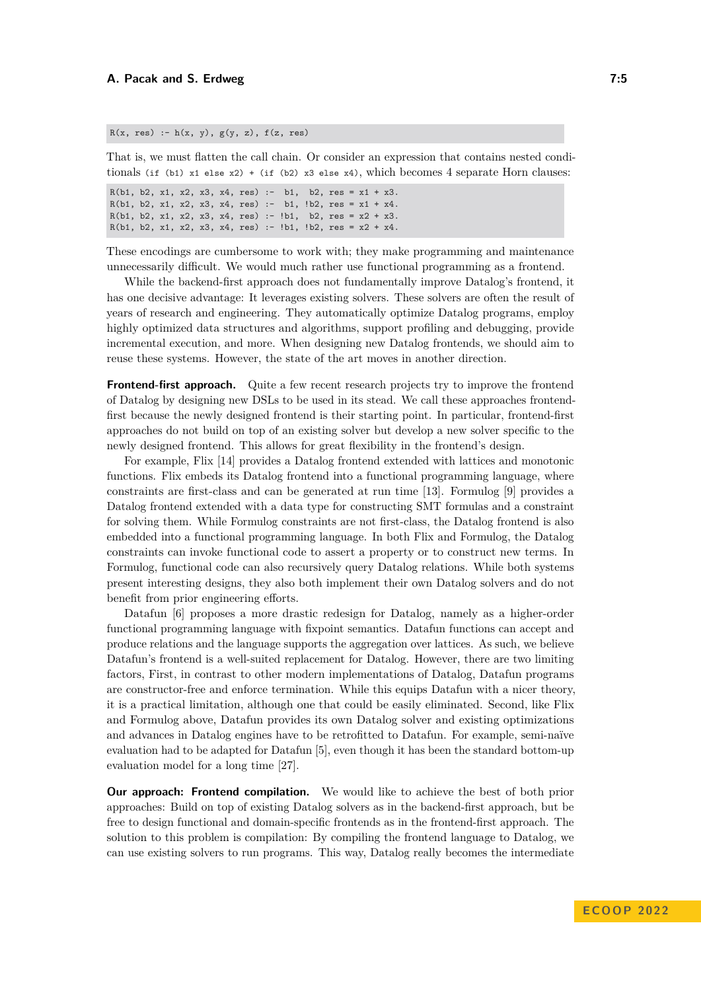$R(x, res) := h(x, y), g(y, z), f(z, res)$ 

That is, we must flatten the call chain. Or consider an expression that contains nested conditionals (if (b1) x1 else x2) + (if (b2) x3 else x4), which becomes 4 separate Horn clauses:

R(b1, b2, x1, x2, x3, x4, res) :- b1, b2, res =  $x1 + x3$ . R(b1, b2, x1, x2, x3, x4, res) :- b1,  $lb2$ , res = x1 + x4. R(b1, b2, x1, x2, x3, x4, res) :- !b1, b2, res =  $x2 + x3$ . R(b1, b2, x1, x2, x3, x4, res) :- !b1, !b2, res =  $x2 + x4$ .

These encodings are cumbersome to work with; they make programming and maintenance unnecessarily difficult. We would much rather use functional programming as a frontend.

While the backend-first approach does not fundamentally improve Datalog's frontend, it has one decisive advantage: It leverages existing solvers. These solvers are often the result of years of research and engineering. They automatically optimize Datalog programs, employ highly optimized data structures and algorithms, support profiling and debugging, provide incremental execution, and more. When designing new Datalog frontends, we should aim to reuse these systems. However, the state of the art moves in another direction.

**Frontend-first approach.** Quite a few recent research projects try to improve the frontend of Datalog by designing new DSLs to be used in its stead. We call these approaches frontendfirst because the newly designed frontend is their starting point. In particular, frontend-first approaches do not build on top of an existing solver but develop a new solver specific to the newly designed frontend. This allows for great flexibility in the frontend's design.

For example, Flix [\[14\]](#page-26-11) provides a Datalog frontend extended with lattices and monotonic functions. Flix embeds its Datalog frontend into a functional programming language, where constraints are first-class and can be generated at run time [\[13\]](#page-26-2). Formulog [\[9\]](#page-25-4) provides a Datalog frontend extended with a data type for constructing SMT formulas and a constraint for solving them. While Formulog constraints are not first-class, the Datalog frontend is also embedded into a functional programming language. In both Flix and Formulog, the Datalog constraints can invoke functional code to assert a property or to construct new terms. In Formulog, functional code can also recursively query Datalog relations. While both systems present interesting designs, they also both implement their own Datalog solvers and do not benefit from prior engineering efforts.

Datafun [\[6\]](#page-25-5) proposes a more drastic redesign for Datalog, namely as a higher-order functional programming language with fixpoint semantics. Datafun functions can accept and produce relations and the language supports the aggregation over lattices. As such, we believe Datafun's frontend is a well-suited replacement for Datalog. However, there are two limiting factors, First, in contrast to other modern implementations of Datalog, Datafun programs are constructor-free and enforce termination. While this equips Datafun with a nicer theory, it is a practical limitation, although one that could be easily eliminated. Second, like Flix and Formulog above, Datafun provides its own Datalog solver and existing optimizations and advances in Datalog engines have to be retrofitted to Datafun. For example, semi-naïve evaluation had to be adapted for Datafun [\[5\]](#page-25-6), even though it has been the standard bottom-up evaluation model for a long time [\[27\]](#page-27-1).

**Our approach: Frontend compilation.** We would like to achieve the best of both prior approaches: Build on top of existing Datalog solvers as in the backend-first approach, but be free to design functional and domain-specific frontends as in the frontend-first approach. The solution to this problem is compilation: By compiling the frontend language to Datalog, we can use existing solvers to run programs. This way, Datalog really becomes the intermediate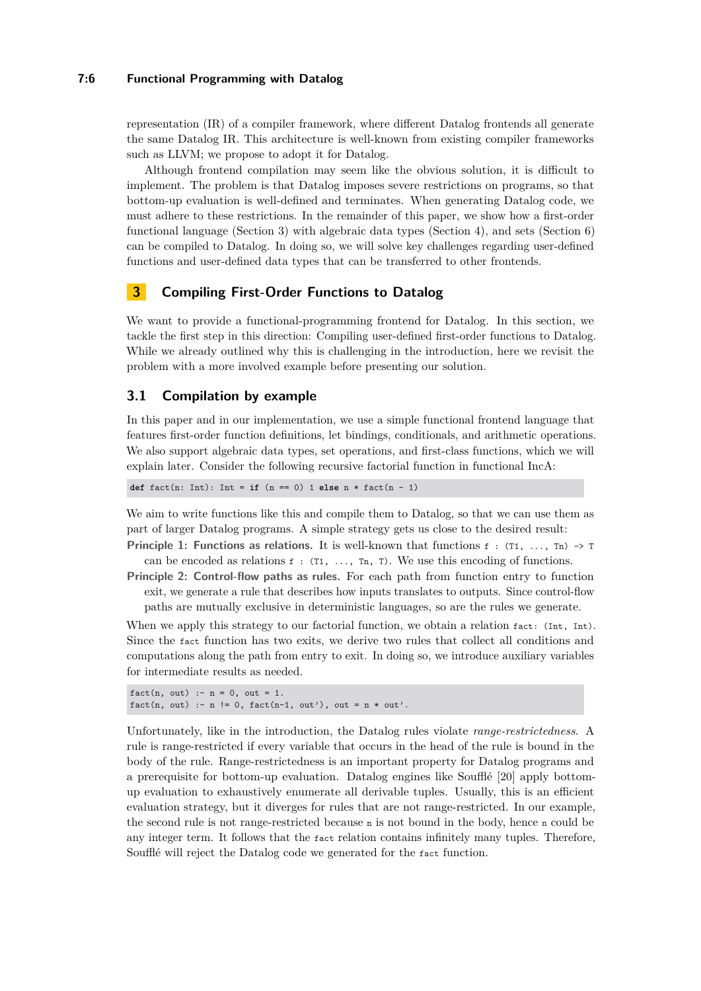### **7:6 Functional Programming with Datalog**

representation (IR) of a compiler framework, where different Datalog frontends all generate the same Datalog IR. This architecture is well-known from existing compiler frameworks such as LLVM; we propose to adopt it for Datalog.

Although frontend compilation may seem like the obvious solution, it is difficult to implement. The problem is that Datalog imposes severe restrictions on programs, so that bottom-up evaluation is well-defined and terminates. When generating Datalog code, we must adhere to these restrictions. In the remainder of this paper, we show how a first-order functional language [\(Section 3\)](#page-5-0) with algebraic data types [\(Section 4\)](#page-11-0), and sets [\(Section 6\)](#page-15-0) can be compiled to Datalog. In doing so, we will solve key challenges regarding user-defined functions and user-defined data types that can be transferred to other frontends.

# <span id="page-5-0"></span>**3 Compiling First-Order Functions to Datalog**

We want to provide a functional-programming frontend for Datalog. In this section, we tackle the first step in this direction: Compiling user-defined first-order functions to Datalog. While we already outlined why this is challenging in the introduction, here we revisit the problem with a more involved example before presenting our solution.

# <span id="page-5-1"></span>**3.1 Compilation by example**

In this paper and in our implementation, we use a simple functional frontend language that features first-order function definitions, let bindings, conditionals, and arithmetic operations. We also support algebraic data types, set operations, and first-class functions, which we will explain later. Consider the following recursive factorial function in functional IncA:

**def**  $fact(n: Int): Int = if (n == 0) 1 else n * fact(n - 1)$ 

We aim to write functions like this and compile them to Datalog, so that we can use them as part of larger Datalog programs. A simple strategy gets us close to the desired result:

- **Principle 1: Functions as relations.** It is well-known that functions  $f : (T_1, \ldots, T_n) \rightarrow T$ can be encoded as relations  $f : (T_1, \ldots, T_n, T)$ . We use this encoding of functions.
- **Principle 2: Control-flow paths as rules.** For each path from function entry to function exit, we generate a rule that describes how inputs translates to outputs. Since control-flow paths are mutually exclusive in deterministic languages, so are the rules we generate.

When we apply this strategy to our factorial function, we obtain a relation fact: (Int, Int). Since the fact function has two exits, we derive two rules that collect all conditions and computations along the path from entry to exit. In doing so, we introduce auxiliary variables for intermediate results as needed.

```
fact(n, out) :- n = 0, out = 1.fact(n, out) :- n != 0, fact(n-1, out'), out = n * out'.
```
Unfortunately, like in the introduction, the Datalog rules violate *range-restrictedness*. A rule is range-restricted if every variable that occurs in the head of the rule is bound in the body of the rule. Range-restrictedness is an important property for Datalog programs and a prerequisite for bottom-up evaluation. Datalog engines like Soufflé [\[20\]](#page-26-5) apply bottomup evaluation to exhaustively enumerate all derivable tuples. Usually, this is an efficient evaluation strategy, but it diverges for rules that are not range-restricted. In our example, the second rule is not range-restricted because n is not bound in the body, hence n could be any integer term. It follows that the fact relation contains infinitely many tuples. Therefore, Soufflé will reject the Datalog code we generated for the fact function.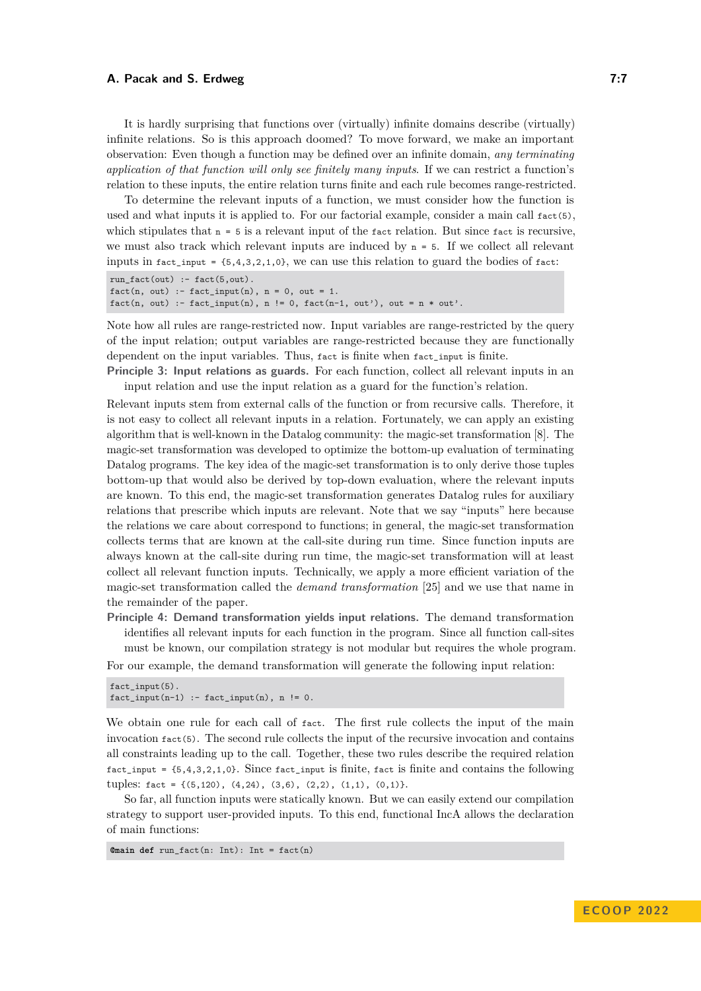It is hardly surprising that functions over (virtually) infinite domains describe (virtually) infinite relations. So is this approach doomed? To move forward, we make an important observation: Even though a function may be defined over an infinite domain, *any terminating application of that function will only see finitely many inputs*. If we can restrict a function's relation to these inputs, the entire relation turns finite and each rule becomes range-restricted.

To determine the relevant inputs of a function, we must consider how the function is used and what inputs it is applied to. For our factorial example, consider a main call  $fact(5)$ , which stipulates that  $n = 5$  is a relevant input of the fact relation. But since fact is recursive, we must also track which relevant inputs are induced by  $n = 5$ . If we collect all relevant inputs in fact\_input =  $\{5,4,3,2,1,0\}$ , we can use this relation to guard the bodies of fact:

```
run fact(out) :- fact(5,out).
fact(n, out) :- fact\_input(n), n = 0, out = 1.fact(n, out) :- fact\_input(n), n != 0, fact(n-1, out'), out = n * out'.
```
Note how all rules are range-restricted now. Input variables are range-restricted by the query of the input relation; output variables are range-restricted because they are functionally dependent on the input variables. Thus, fact is finite when fact\_input is finite.

**Principle 3: Input relations as guards.** For each function, collect all relevant inputs in an input relation and use the input relation as a guard for the function's relation.

Relevant inputs stem from external calls of the function or from recursive calls. Therefore, it is not easy to collect all relevant inputs in a relation. Fortunately, we can apply an existing algorithm that is well-known in the Datalog community: the magic-set transformation [\[8\]](#page-25-7). The magic-set transformation was developed to optimize the bottom-up evaluation of terminating Datalog programs. The key idea of the magic-set transformation is to only derive those tuples bottom-up that would also be derived by top-down evaluation, where the relevant inputs are known. To this end, the magic-set transformation generates Datalog rules for auxiliary relations that prescribe which inputs are relevant. Note that we say "inputs" here because the relations we care about correspond to functions; in general, the magic-set transformation collects terms that are known at the call-site during run time. Since function inputs are always known at the call-site during run time, the magic-set transformation will at least collect all relevant function inputs. Technically, we apply a more efficient variation of the magic-set transformation called the *demand transformation* [\[25\]](#page-26-6) and we use that name in the remainder of the paper.

**Principle 4: Demand transformation yields input relations.** The demand transformation identifies all relevant inputs for each function in the program. Since all function call-sites must be known, our compilation strategy is not modular but requires the whole program.

For our example, the demand transformation will generate the following input relation:

```
fact_input(5).
fact\_input(n-1) :- fact\_input(n), n != 0.
```
We obtain one rule for each call of fact. The first rule collects the input of the main invocation fact(5). The second rule collects the input of the recursive invocation and contains all constraints leading up to the call. Together, these two rules describe the required relation  $fact\_input = \{5,4,3,2,1,0\}$ . Since  $fact\_input$  is finite,  $fact$  is finite and contains the following tuples: fact = {(5,120), (4,24), (3,6), (2,2), (1,1), (0,1)}.

So far, all function inputs were statically known. But we can easily extend our compilation strategy to support user-provided inputs. To this end, functional IncA allows the declaration of main functions:

**@main def** run\_fact(n: Int): Int = fact(n)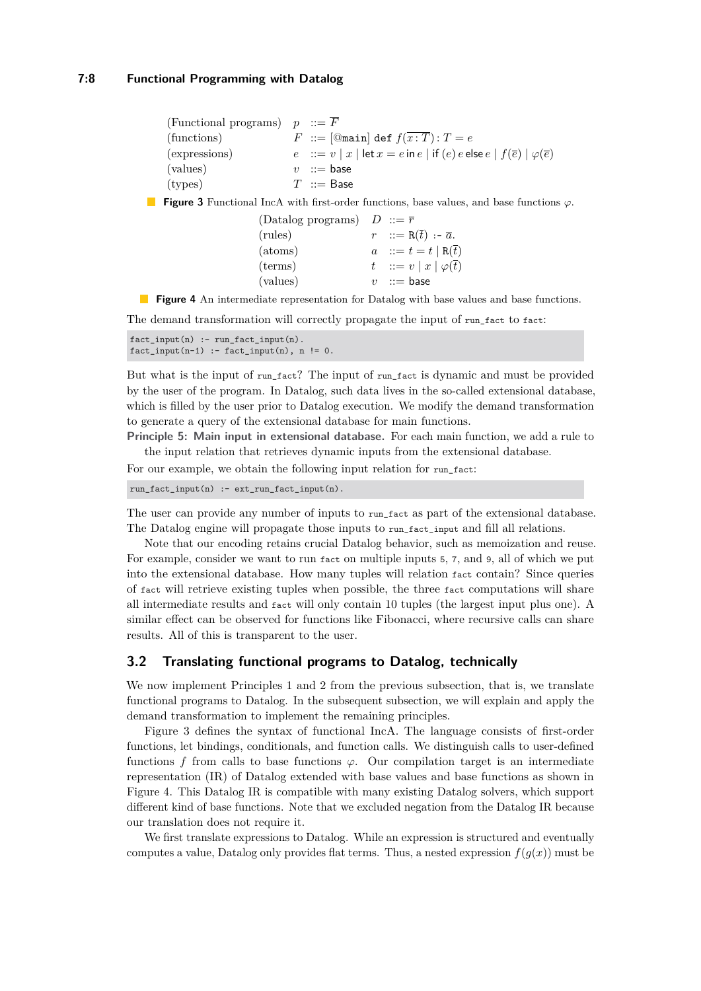### **7:8 Functional Programming with Datalog**

<span id="page-7-0"></span>

| (Functional programs) $p ::= F$ |                                                                                                       |
|---------------------------------|-------------------------------------------------------------------------------------------------------|
| (functions)                     | $F ::= [\text{Quant}]$ def $f(\overline{x : T}) : T = e$                                              |
| (expressions)                   | $e$ := $v   x  $ let $x = e$ in $e  $ if $(e)$ $e$ else $e   f(\overline{e})   \varphi(\overline{e})$ |
| (values)                        | $v$ ::= base                                                                                          |
| (types)                         | $T \ ::=$ Base                                                                                        |

<span id="page-7-1"></span>**Figure 3** Functional IncA with first-order functions, base values, and base functions *ϕ*.

(Datalog programs)  $D ::= \overline{r}$ (rules)  $r := R(\bar{t}) - \bar{a}.$ (atoms)  $a := t = t | R(\overline{t})$ (terms)  $t := v | x | \varphi(\overline{t})$  $(values)$   $v := base$ 

**Figure 4** An intermediate representation for Datalog with base values and base functions.

The demand transformation will correctly propagate the input of run\_fact to fact:

```
fact_input(n) :- run_fact_input(n).
fact\_input(n-1) :- fact\_input(n), n != 0.
```
But what is the input of run\_fact? The input of run\_fact is dynamic and must be provided by the user of the program. In Datalog, such data lives in the so-called extensional database, which is filled by the user prior to Datalog execution. We modify the demand transformation to generate a query of the extensional database for main functions.

**Principle 5: Main input in extensional database.** For each main function, we add a rule to the input relation that retrieves dynamic inputs from the extensional database.

For our example, we obtain the following input relation for run\_fact:

```
run_fact_input(n) :- ext_run_fact_input(n).
```
The user can provide any number of inputs to run\_fact as part of the extensional database. The Datalog engine will propagate those inputs to run fact input and fill all relations.

Note that our encoding retains crucial Datalog behavior, such as memoization and reuse. For example, consider we want to run fact on multiple inputs 5, 7, and 9, all of which we put into the extensional database. How many tuples will relation fact contain? Since queries of fact will retrieve existing tuples when possible, the three fact computations will share all intermediate results and fact will only contain 10 tuples (the largest input plus one). A similar effect can be observed for functions like Fibonacci, where recursive calls can share results. All of this is transparent to the user.

# <span id="page-7-2"></span>**3.2 Translating functional programs to Datalog, technically**

We now implement Principles 1 and 2 from the previous subsection, that is, we translate functional programs to Datalog. In the subsequent subsection, we will explain and apply the demand transformation to implement the remaining principles.

[Figure 3](#page-7-0) defines the syntax of functional IncA. The language consists of first-order functions, let bindings, conditionals, and function calls. We distinguish calls to user-defined functions f from calls to base functions  $\varphi$ . Our compilation target is an intermediate representation (IR) of Datalog extended with base values and base functions as shown in [Figure 4.](#page-7-1) This Datalog IR is compatible with many existing Datalog solvers, which support different kind of base functions. Note that we excluded negation from the Datalog IR because our translation does not require it.

We first translate expressions to Datalog. While an expression is structured and eventually computes a value, Datalog only provides flat terms. Thus, a nested expression  $f(g(x))$  must be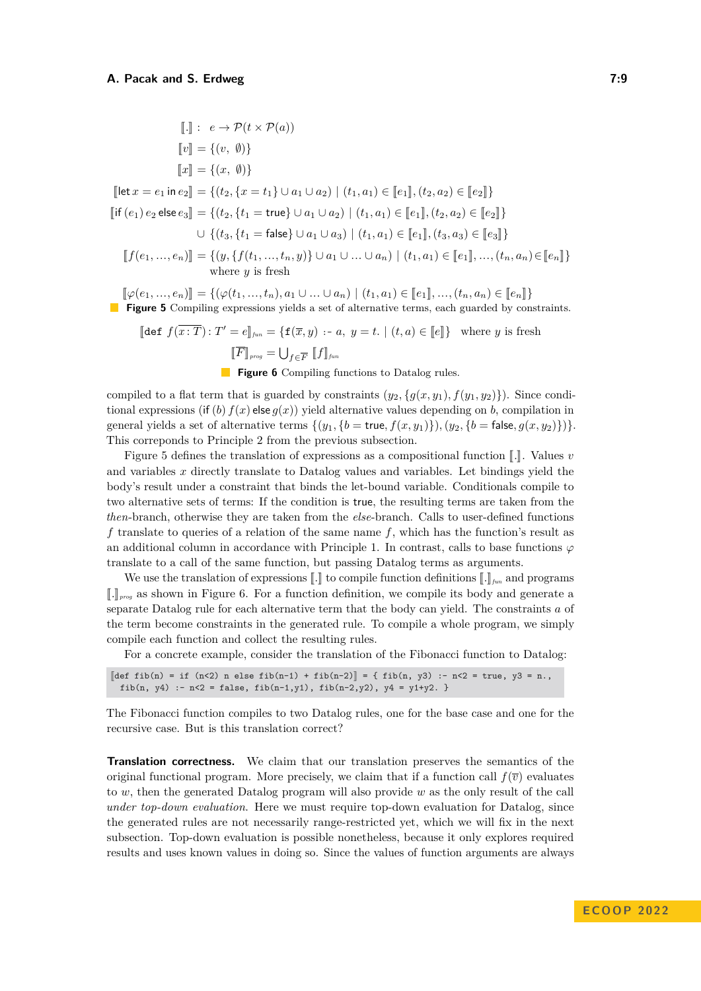<span id="page-8-0"></span>
$$
\begin{aligned}\n\llbracket . \rrbracket &\colon \quad e \to \mathcal{P}(t \times \mathcal{P}(a)) \\
\llbracket v \rrbracket &= \{(v, \emptyset)\} \\
\llbracket x \rrbracket &= \{(x, \emptyset)\} \\
\llbracket \text{let } x = e_1 \text{ in } e_2 \rrbracket &= \{(t_2, \{x = t_1\} \cup a_1 \cup a_2) \mid (t_1, a_1) \in \llbracket e_1 \rrbracket, (t_2, a_2) \in \llbracket e_2 \rrbracket\} \\
\llbracket \text{if } (e_1) e_2 \text{ else } e_3 \rrbracket &= \{(t_2, \{t_1 = \text{true}\} \cup a_1 \cup a_2) \mid (t_1, a_1) \in \llbracket e_1 \rrbracket, (t_2, a_2) \in \llbracket e_2 \rrbracket\} \\
&\quad \cup \{(t_3, \{t_1 = \text{false}\} \cup a_1 \cup a_3) \mid (t_1, a_1) \in \llbracket e_1 \rrbracket, (t_3, a_3) \in \llbracket e_3 \rrbracket\} \\
\llbracket f(e_1, \ldots, e_n) \rrbracket &= \{(y, \{f(t_1, \ldots, t_n, y)\} \cup a_1 \cup \ldots \cup a_n) \mid (t_1, a_1) \in \llbracket e_1 \rrbracket, \ldots, (t_n, a_n) \in \llbracket e_n \rrbracket\} \\
\text{where } y \text{ is fresh} \\
\llbracket \varphi(e_1, \ldots, e_n) \rrbracket &= \{(\varphi(t_1, \ldots, t_n), a_1 \cup \ldots \cup a_n) \mid (t_1, a_1) \in \llbracket e_1 \rrbracket, \ldots, (t_n, a_n) \in \llbracket e_n \rrbracket\} \\
\text{Figure 5 Compiling expressions yields a set of alternative terms, each guarded by constraints.\n\end{aligned}
$$

<span id="page-8-1"></span> $\left[\text{def } f(\overline{x} : \overline{T}) : T' = e \right]_{\text{fun}} = \left\{ \textbf{f}(\overline{x}, y) : a, y = t. \mid (t, a) \in \left[ e \right] \right\}$  where *y* is fresh  $\llbracket \overline{F} \rrbracket_{\textit{prog}} = \bigcup_{f \in \overline{F}} \llbracket f \rrbracket_{\textit{fun}}$ 

**Figure 6** Compiling functions to Datalog rules.

compiled to a flat term that is guarded by constraints  $(y_2, \{g(x, y_1), f(y_1, y_2)\})$ . Since conditional expressions (if (*b*)  $f(x)$  else  $g(x)$ ) yield alternative values depending on *b*, compilation in general yields a set of alternative terms  $\{(y_1, \{b = \text{true}, f(x, y_1)\}), (y_2, \{b = \text{false}, g(x, y_2)\})\}.$ This correponds to Principle 2 from the previous subsection.

[Figure 5](#page-8-0) defines the translation of expressions as a compositional function  $\llbracket . \rrbracket$ . Values *v* and variables *x* directly translate to Datalog values and variables. Let bindings yield the body's result under a constraint that binds the let-bound variable. Conditionals compile to two alternative sets of terms: If the condition is true, the resulting terms are taken from the *then*-branch, otherwise they are taken from the *else*-branch. Calls to user-defined functions *f* translate to queries of a relation of the same name *f*, which has the function's result as an additional column in accordance with Principle 1. In contrast, calls to base functions  $\varphi$ translate to a call of the same function, but passing Datalog terms as arguments.

We use the translation of expressions  $\llbracket . \rrbracket$  to compile function definitions  $\llbracket . \rrbracket_{\text{fin}}$  and programs <sup>J</sup>*.*K*prog* as shown in [Figure 6.](#page-8-1) For a function definition, we compile its body and generate a separate Datalog rule for each alternative term that the body can yield. The constraints *a* of the term become constraints in the generated rule. To compile a whole program, we simply compile each function and collect the resulting rules.

For a concrete example, consider the translation of the Fibonacci function to Datalog:

$$
[\text{def fib}(n) = \text{if } (n < 2) \text{ n else } \text{fib}(n-1) + \text{fib}(n-2)] = \{ \text{fib}(n, y3) : -n < 2 = \text{true}, y3 = n., \text{fib}(n, y4) : -n < 2 = \text{false}, \text{fib}(n-1, y1), \text{fib}(n-2, y2), y4 = y1 + y2. \}
$$

The Fibonacci function compiles to two Datalog rules, one for the base case and one for the recursive case. But is this translation correct?

**Translation correctness.** We claim that our translation preserves the semantics of the original functional program. More precisely, we claim that if a function call  $f(\bar{v})$  evaluates to *w*, then the generated Datalog program will also provide *w* as the only result of the call *under top-down evaluation*. Here we must require top-down evaluation for Datalog, since the generated rules are not necessarily range-restricted yet, which we will fix in the next subsection. Top-down evaluation is possible nonetheless, because it only explores required results and uses known values in doing so. Since the values of function arguments are always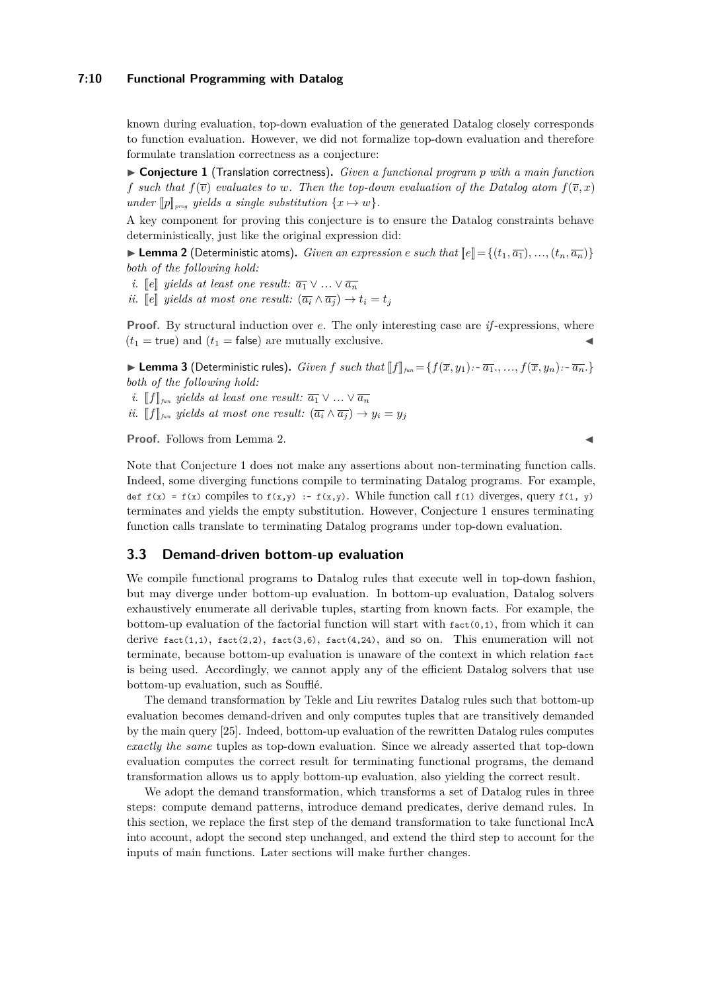### **7:10 Functional Programming with Datalog**

known during evaluation, top-down evaluation of the generated Datalog closely corresponds to function evaluation. However, we did not formalize top-down evaluation and therefore formulate translation correctness as a conjecture:

<span id="page-9-1"></span>I **Conjecture 1** (Translation correctness)**.** *Given a functional program p with a main function f* such that  $f(\bar{v})$  evaluates to w. Then the top-down evaluation of the Datalog atom  $f(\bar{v}, x)$ *under*  $[p]_{\text{prog}}$  *yields a single substitution*  $\{x \mapsto w\}$ *.* 

A key component for proving this conjecture is to ensure the Datalog constraints behave deterministically, just like the original expression did:

<span id="page-9-0"></span> $\blacktriangleright$  **Lemma 2** (Deterministic atoms). *Given an expression e such that*  $\lbrack \lbrack e \rbrack = \{(t_1, \overline{a_1}), ..., (t_n, \overline{a_n})\}$ *both of the following hold:*

*i.*  $\llbracket e \rrbracket$  *yields at least one result:*  $\overline{a_1} \vee \ldots \vee \overline{a_n}$ 

*ii.*  $\llbracket e \rrbracket$  *yields at most one result:*  $(\overline{a_i} \wedge \overline{a_j}) \rightarrow t_i = t_j$ 

**Proof.** By structural induction over *e*. The only interesting case are *if* -expressions, where  $(t_1 = \text{true})$  and  $(t_1 = \text{false})$  are mutually exclusive.

**Lemma 3** (Deterministic rules). Given f such that  $||f||_{\text{fun}} = \{f(\overline{x}, y_1) : \overline{a_1}, ..., f(\overline{x}, y_n) : \overline{a_n}\}$ *both of the following hold:*

- *i.*  $[$ *f* $]$ <sub>*fun</sub> yields at least one result:*  $\overline{a_1} \vee \dots \vee \overline{a_n}$ </sub>
- *ii.*  $[$ *f* $]_{\text{fun}}$  *yields at most one result:*  $(\overline{a_i} \wedge \overline{a_j}) \rightarrow y_i = y_j$

**Proof.** Follows from Lemma [2.](#page-9-0)

Note that Conjecture [1](#page-9-1) does not make any assertions about non-terminating function calls. Indeed, some diverging functions compile to terminating Datalog programs. For example, def  $f(x) = f(x)$  compiles to  $f(x,y) := f(x,y)$ . While function call  $f(1)$  diverges, query  $f(1, y)$ terminates and yields the empty substitution. However, Conjecture [1](#page-9-1) ensures terminating function calls translate to terminating Datalog programs under top-down evaluation.

### <span id="page-9-2"></span>**3.3 Demand-driven bottom-up evaluation**

We compile functional programs to Datalog rules that execute well in top-down fashion, but may diverge under bottom-up evaluation. In bottom-up evaluation, Datalog solvers exhaustively enumerate all derivable tuples, starting from known facts. For example, the bottom-up evaluation of the factorial function will start with  $f_{\text{act}}(0,1)$ , from which it can derive  $fact(1,1)$ ,  $fact(2,2)$ ,  $fact(3,6)$ ,  $fact(4,24)$ , and so on. This enumeration will not terminate, because bottom-up evaluation is unaware of the context in which relation fact is being used. Accordingly, we cannot apply any of the efficient Datalog solvers that use bottom-up evaluation, such as Soufflé.

The demand transformation by Tekle and Liu rewrites Datalog rules such that bottom-up evaluation becomes demand-driven and only computes tuples that are transitively demanded by the main query [\[25\]](#page-26-6). Indeed, bottom-up evaluation of the rewritten Datalog rules computes *exactly the same* tuples as top-down evaluation. Since we already asserted that top-down evaluation computes the correct result for terminating functional programs, the demand transformation allows us to apply bottom-up evaluation, also yielding the correct result.

We adopt the demand transformation, which transforms a set of Datalog rules in three steps: compute demand patterns, introduce demand predicates, derive demand rules. In this section, we replace the first step of the demand transformation to take functional IncA into account, adopt the second step unchanged, and extend the third step to account for the inputs of main functions. Later sections will make further changes.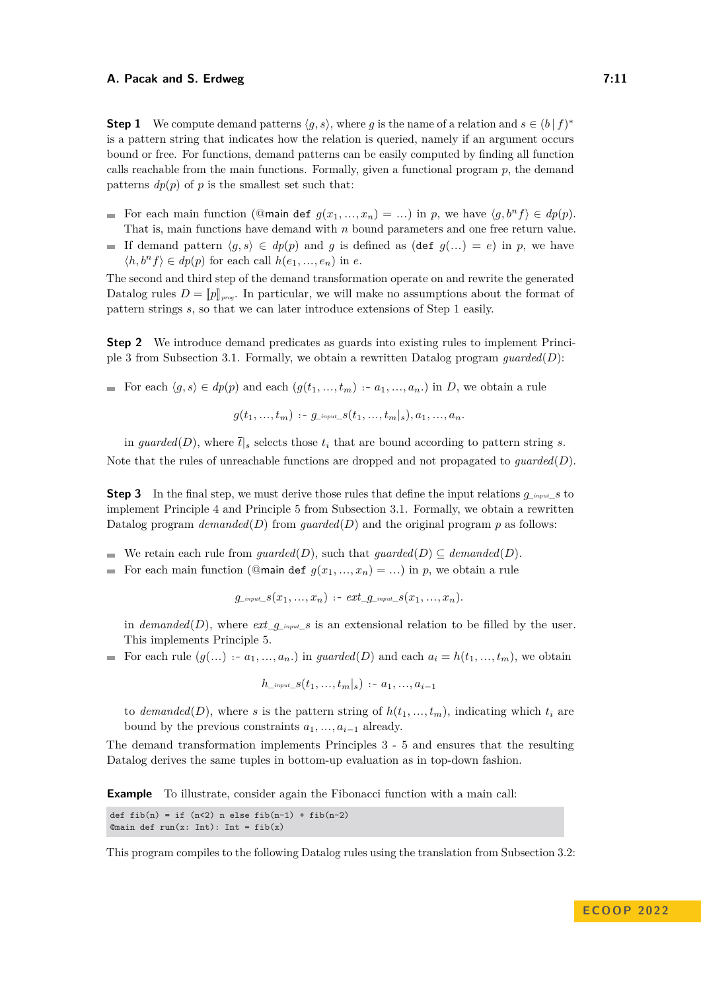**Step 1** We compute demand patterns  $\langle g, s \rangle$ , where *g* is the name of a relation and  $s \in (b \mid f)^*$ is a pattern string that indicates how the relation is queried, namely if an argument occurs bound or free. For functions, demand patterns can be easily computed by finding all function calls reachable from the main functions. Formally, given a functional program  $p$ , the demand patterns  $dp(p)$  of *p* is the smallest set such that:

- For each main function (@main def  $g(x_1, ..., x_n) = ...$ ) in p, we have  $\langle g, b^n f \rangle \in dp(p)$ . That is, main functions have demand with *n* bound parameters and one free return value.
- If demand pattern  $\langle g, s \rangle \in dp(p)$  and *g* is defined as (def  $g(...) = e$ ) in *p*, we have  $\langle h, b^n f \rangle \in dp(p)$  for each call  $h(e_1, ..., e_n)$  in *e*.

The second and third step of the demand transformation operate on and rewrite the generated Datalog rules  $D = [p]_{prog}$ . In particular, we will make no assumptions about the format of pattern strings *s*, so that we can later introduce extensions of Step 1 easily.

**Step 2** We introduce demand predicates as guards into existing rules to implement Principle 3 from [Subsection 3.1.](#page-5-1) Formally, we obtain a rewritten Datalog program *guarded*(*D*):

For each  $\langle g, s \rangle \in dp(p)$  and each  $(g(t_1, ..., t_m) : a_1, ..., a_n)$  in *D*, we obtain a rule

$$
g(t_1,...,t_m) \, \cdots \, g_{\perp^{input\_S}}(t_1,...,t_m|_s), a_1,...,a_n.
$$

in *guarded*(*D*), where  $\bar{t}|_s$  selects those  $t_i$  that are bound according to pattern string *s*. Note that the rules of unreachable functions are dropped and not propagated to *guarded*(*D*).

**Step 3** In the final step, we must derive those rules that define the input relations  $q_{\text{input}}$  s to implement Principle 4 and Principle 5 from [Subsection 3.1.](#page-5-1) Formally, we obtain a rewritten Datalog program *demanded*(*D*) from *guarded*(*D*) and the original program  $p$  as follows:

- We retain each rule from *guarded*(*D*), such that *guarded*(*D*)  $\subseteq$  *demanded*(*D*).
- For each main function (@main def  $g(x_1, ..., x_n) = ...$ ) in *p*, we obtain a rule

 $q_{\text{input}}$   $s(x_1, ..., x_n)$  :-  $ext\_q_{\text{input}}$   $s(x_1, ..., x_n)$ .

in *demanded*(*D*), where  $ext_{g_{input}}s$  is an extensional relation to be filled by the user. This implements Principle 5.

For each rule  $(g(...) : a_1, ..., a_n)$  in *guarded*(*D*) and each  $a_i = h(t_1, ..., t_m)$ , we obtain

$$
h_{\perp^{input\_}}s(t_1,...,t_m|_s)\, \cdots\, a_1,...,a_{i-1}
$$

to *demanded*(*D*), where *s* is the pattern string of  $h(t_1, \ldots, t_m)$ , indicating which  $t_i$  are bound by the previous constraints  $a_1, \ldots, a_{i-1}$  already.

The demand transformation implements Principles 3 - 5 and ensures that the resulting Datalog derives the same tuples in bottom-up evaluation as in top-down fashion.

**Example** To illustrate, consider again the Fibonacci function with a main call:

```
def fib(n) = if (n<2) n else fib(n-1) + fib(n-2)Qmain def run(x: Int): Int = fib(x)
```
This program compiles to the following Datalog rules using the translation from [Subsection 3.2:](#page-7-2)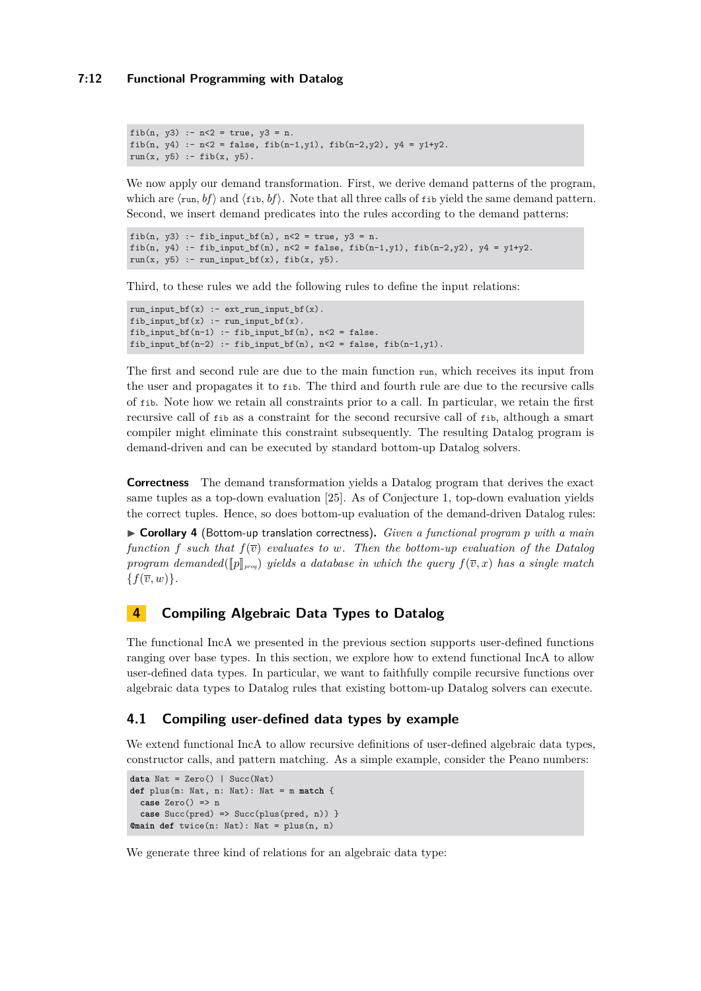### **7:12 Functional Programming with Datalog**

```
fib(n, y3) :- n < 2 = true, y3 = n.
fib(n, y4) :- n < 2 = false, fib(n-1,y1), fib(n-2,y2), y4 = y1+y2.
run(x, y5) := fib(x, y5).
```
We now apply our demand transformation. First, we derive demand patterns of the program, which are  $\langle \text{run}, bf \rangle$  and  $\langle \text{fib}, bf \rangle$ . Note that all three calls of fib yield the same demand pattern. Second, we insert demand predicates into the rules according to the demand patterns:

```
fib(n, y3) :- fib_input_bf(n), n < 2 = true, y3 = n.
fib(n, y4) :- fib_input_bf(n), n < 2 = false, fib(n-1,y1), fib(n-2,y2), y4 = y1+y2.
run(x, y5) :- run_input_bf(x), fib(x, y5).
```
Third, to these rules we add the following rules to define the input relations:

```
run\_input_bf(x) :- ext\_run\_input_bf(x).
fib input bf(x) :- run input bf(x).
fib\_input_bf(n-1) :- fib\_input_bf(n), n<2 = false.
fib\_input_bf(n-2) :- fib\_input_bf(n), n<2 = false, fib(n-1,y1).
```
The first and second rule are due to the main function run, which receives its input from the user and propagates it to fib. The third and fourth rule are due to the recursive calls of fib. Note how we retain all constraints prior to a call. In particular, we retain the first recursive call of fib as a constraint for the second recursive call of fib, although a smart compiler might eliminate this constraint subsequently. The resulting Datalog program is demand-driven and can be executed by standard bottom-up Datalog solvers.

**Correctness** The demand transformation yields a Datalog program that derives the exact same tuples as a top-down evaluation [\[25\]](#page-26-6). As of Conjecture [1,](#page-9-1) top-down evaluation yields the correct tuples. Hence, so does bottom-up evaluation of the demand-driven Datalog rules:

I **Corollary 4** (Bottom-up translation correctness)**.** *Given a functional program p with a main function f such that*  $f(\overline{v})$  *evaluates to w.* Then the bottom-up evaluation of the Datalog *program demanded*( $[p]_{proj}$  *yields a database in which the query*  $f(\bar{v}, x)$  *has a single match*  ${f(\overline{v}, w)}$ .

# <span id="page-11-0"></span>**4 Compiling Algebraic Data Types to Datalog**

The functional IncA we presented in the previous section supports user-defined functions ranging over base types. In this section, we explore how to extend functional IncA to allow user-defined data types. In particular, we want to faithfully compile recursive functions over algebraic data types to Datalog rules that existing bottom-up Datalog solvers can execute.

# **4.1 Compiling user-defined data types by example**

We extend functional IncA to allow recursive definitions of user-defined algebraic data types, constructor calls, and pattern matching. As a simple example, consider the Peano numbers:

```
data Nat = Zero() | Succ(Nat)
def plus(m: Nat, n: Nat): Nat = m match {
 case Zero() => n
  case Succ(pred) => Succ(plus(pred, n)) }
@main def twice(n: Nat): Nat = plus(n, n)
```
We generate three kind of relations for an algebraic data type: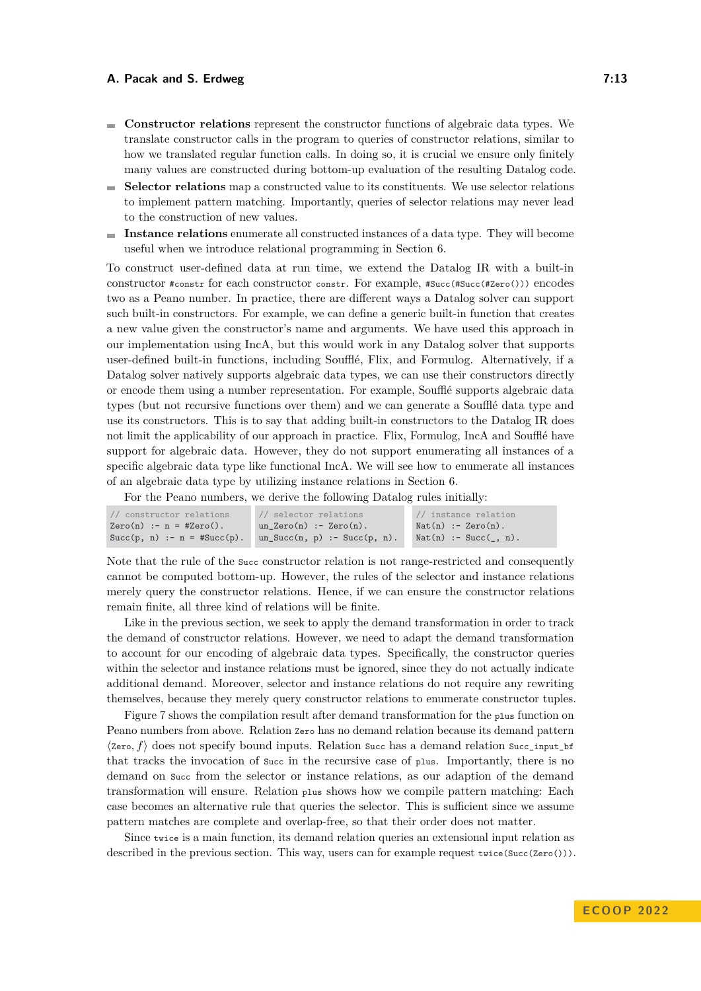- **Constructor relations** represent the constructor functions of algebraic data types. We translate constructor calls in the program to queries of constructor relations, similar to how we translated regular function calls. In doing so, it is crucial we ensure only finitely many values are constructed during bottom-up evaluation of the resulting Datalog code.
- **Selector relations** map a constructed value to its constituents. We use selector relations m. to implement pattern matching. Importantly, queries of selector relations may never lead to the construction of new values.
- **Instance relations** enumerate all constructed instances of a data type. They will become useful when we introduce relational programming in [Section 6.](#page-15-0)

To construct user-defined data at run time, we extend the Datalog IR with a built-in constructor #constr for each constructor constr. For example, #Succ(#Succ(#Zero())) encodes two as a Peano number. In practice, there are different ways a Datalog solver can support such built-in constructors. For example, we can define a generic built-in function that creates a new value given the constructor's name and arguments. We have used this approach in our implementation using IncA, but this would work in any Datalog solver that supports user-defined built-in functions, including Soufflé, Flix, and Formulog. Alternatively, if a Datalog solver natively supports algebraic data types, we can use their constructors directly or encode them using a number representation. For example, Soufflé supports algebraic data types (but not recursive functions over them) and we can generate a Soufflé data type and use its constructors. This is to say that adding built-in constructors to the Datalog IR does not limit the applicability of our approach in practice. Flix, Formulog, IncA and Soufflé have support for algebraic data. However, they do not support enumerating all instances of a specific algebraic data type like functional IncA. We will see how to enumerate all instances of an algebraic data type by utilizing instance relations in [Section 6.](#page-15-0)

For the Peano numbers, we derive the following Datalog rules initially:

| constructor relations          | // selector relations              | // instance relation  |
|--------------------------------|------------------------------------|-----------------------|
| $Zero(n) := n = #Zero()$ .     | un Zero $(n)$ :- Zero $(n)$ .      | $Nat(n) :- Zero(n).$  |
| $Succ(p, n) :- n = #Succ(p)$ . | $un\_Succ(n, p)$ :- $Succ(p, n)$ . | $Nat(n) :- Succ( n).$ |

Note that the rule of the Succ constructor relation is not range-restricted and consequently cannot be computed bottom-up. However, the rules of the selector and instance relations merely query the constructor relations. Hence, if we can ensure the constructor relations remain finite, all three kind of relations will be finite.

Like in the previous section, we seek to apply the demand transformation in order to track the demand of constructor relations. However, we need to adapt the demand transformation to account for our encoding of algebraic data types. Specifically, the constructor queries within the selector and instance relations must be ignored, since they do not actually indicate additional demand. Moreover, selector and instance relations do not require any rewriting themselves, because they merely query constructor relations to enumerate constructor tuples.

[Figure 7](#page-13-0) shows the compilation result after demand transformation for the plus function on Peano numbers from above. Relation Zero has no demand relation because its demand pattern  $\langle \text{Zero}, f \rangle$  does not specify bound inputs. Relation succ has a demand relation succ\_input\_bf that tracks the invocation of Succ in the recursive case of plus. Importantly, there is no demand on Succ from the selector or instance relations, as our adaption of the demand transformation will ensure. Relation plus shows how we compile pattern matching: Each case becomes an alternative rule that queries the selector. This is sufficient since we assume pattern matches are complete and overlap-free, so that their order does not matter.

Since twice is a main function, its demand relation queries an extensional input relation as described in the previous section. This way, users can for example request twice(Succ(Zero())).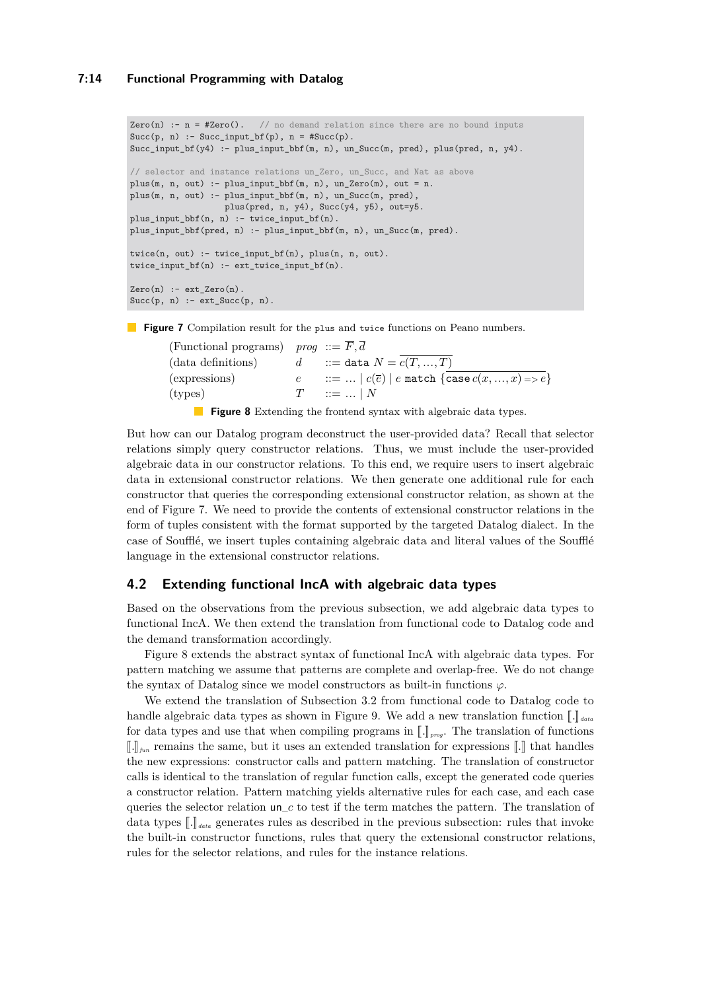#### **7:14 Functional Programming with Datalog**

```
Zero(n) :- n = #Zero(). // no demand relation since there are no bound inputs
Succ(p, n) :- Succ_input_bf(p), n = #Succ(p).
Succ_input_bf(y4) :- plus_input_bbf(m, n), un_Succ(m, pred), plus(pred, n, y4).
// selector and instance relations un_Zero, un_Succ, and Nat as above
plus(m, n, out) :- plus_input_bbf(m, n), un_Zero(m), out = n.
plus(m, n, out) :- plus_input_bbf(m, n), un_Succ(m, pred),
                  plus(pred, n, y4), Succ(y4, y5), out=y5.
plus_input_bbf(n, n) :- twice_input_bf(n).
plus_input_bbf(pred, n) :- plus_input_bbf(m, n), un_Succ(m, pred).
twice(n, out) :- twice_input_bf(n), plus(n, n, out).
twice\_input_bf(n) :- ext\_twice\_input_bf(n).
Zero(n) :- ext_{zero}(n).
Succ(p, n) :- ext_Succ(p, n).
```
<span id="page-13-1"></span>**Figure 7** Compilation result for the plus and twice functions on Peano numbers.

(Functional programs) *prog*  $:= \overline{F}, \overline{d}$ (data definitions)  $d$  ::= data  $N = \overline{c(T, ..., T)}$ (expressions)  $e$  ::= ...  $| c(\overline{e}) | e$  match  $\{ \cfrac{\overline{e}}{\csc(x, ..., x) = > e} \}$  $(\text{types})$   $T := ... | N$ 

**Figure 8** Extending the frontend syntax with algebraic data types.

But how can our Datalog program deconstruct the user-provided data? Recall that selector relations simply query constructor relations. Thus, we must include the user-provided algebraic data in our constructor relations. To this end, we require users to insert algebraic data in extensional constructor relations. We then generate one additional rule for each constructor that queries the corresponding extensional constructor relation, as shown at the end of [Figure 7.](#page-13-0) We need to provide the contents of extensional constructor relations in the form of tuples consistent with the format supported by the targeted Datalog dialect. In the case of Soufflé, we insert tuples containing algebraic data and literal values of the Soufflé language in the extensional constructor relations.

### **4.2 Extending functional IncA with algebraic data types**

Based on the observations from the previous subsection, we add algebraic data types to functional IncA. We then extend the translation from functional code to Datalog code and the demand transformation accordingly.

[Figure 8](#page-13-1) extends the abstract syntax of functional IncA with algebraic data types. For pattern matching we assume that patterns are complete and overlap-free. We do not change the syntax of Datalog since we model constructors as built-in functions  $\varphi$ .

We extend the translation of [Subsection 3.2](#page-7-2) from functional code to Datalog code to handle algebraic data types as shown in [Figure 9.](#page-14-1) We add a new translation function  $\llbracket . \rrbracket_{data}$ for data types and use that when compiling programs in  $\llbracket . \rrbracket_{\text{prog}}$ . The translation of functions  $\llbracket . \rrbracket_{\text{fun}}$  remains the same, but it uses an extended translation for expressions  $\llbracket . \rrbracket$  that handles the new expressions: constructor calls and pattern matching. The translation of constructor calls is identical to the translation of regular function calls, except the generated code queries a constructor relation. Pattern matching yields alternative rules for each case, and each case queries the selector relation un\_*c* to test if the term matches the pattern. The translation of data types  $\llbracket . \rrbracket_{data}$  generates rules as described in the previous subsection: rules that invoke the built-in constructor functions, rules that query the extensional constructor relations, rules for the selector relations, and rules for the instance relations.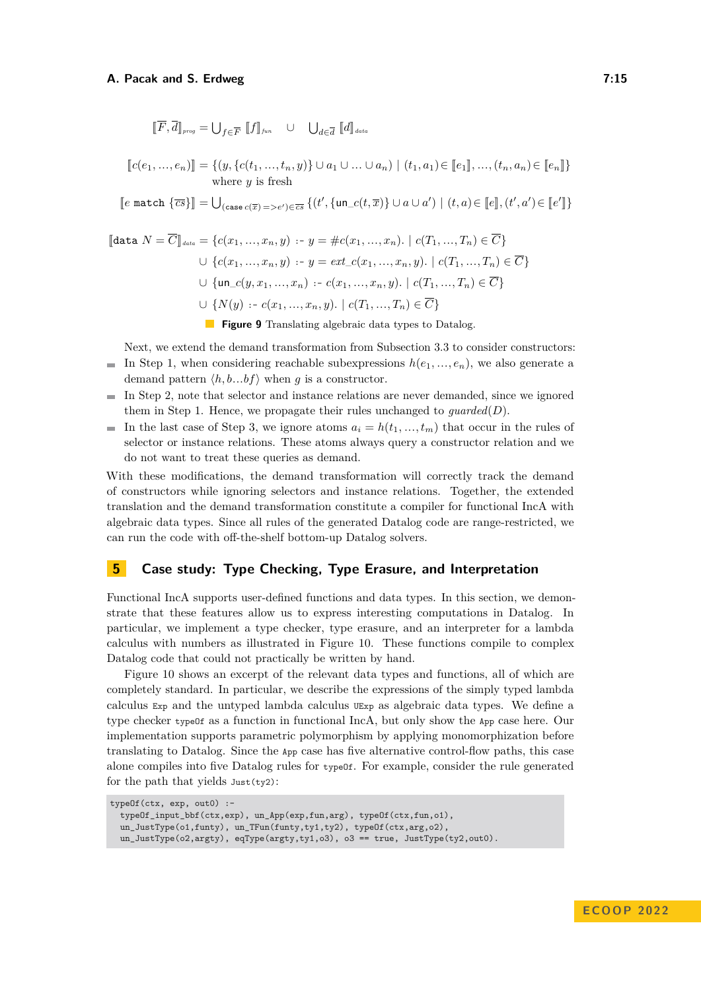<span id="page-14-1"></span>
$$
[\![\overline{F}, \overline{d}]\!]_{\text{prog}} = \bigcup_{f \in \overline{F}} [\![f]\!]_{\text{fun}} \quad \cup \quad \bigcup_{d \in \overline{d}} [\![d]\!]_{\text{data}}
$$

$$
[[c(e_1, ..., e_n)]] = \{(y, \{c(t_1, ..., t_n, y)\} \cup a_1 \cup ... \cup a_n) \mid (t_1, a_1) \in [[e_1]], ..., (t_n, a_n) \in [[e_n]]\}
$$
  
where y is fresh

 $\llbracket e \text{ match } \{\overline{cs}\}\rrbracket = \bigcup_{(\text{case }c(\overline{x}) = > e') \in \overline{cs}} \{(t', \{un\_c(t, \overline{x})\} \cup a \cup a') \mid (t, a) \in \llbracket e \rrbracket, (t', a') \in \llbracket e' \rrbracket\}$ 

$$
\begin{aligned}\n\llbracket \text{data } N = \overline{C} \rrbracket_{data} &= \{c(x_1, \ldots, x_n, y) : y = \#c(x_1, \ldots, x_n). \mid c(T_1, \ldots, T_n) \in \overline{C}\} \\
&\cup \{c(x_1, \ldots, x_n, y) : y = ext_c(x_1, \ldots, x_n, y). \mid c(T_1, \ldots, T_n) \in \overline{C}\} \\
&\cup \{\text{un}_c(y, x_1, \ldots, x_n) : c(x_1, \ldots, x_n, y). \mid c(T_1, \ldots, T_n) \in \overline{C}\} \\
&\cup \{N(y) : c(x_1, \ldots, x_n, y). \mid c(T_1, \ldots, T_n) \in \overline{C}\}\n\end{aligned}
$$

**Figure 9** Translating algebraic data types to Datalog.

Next, we extend the demand transformation from [Subsection 3.3](#page-9-2) to consider constructors: In Step 1, when considering reachable subexpressions  $h(e_1, \ldots, e_n)$ , we also generate a demand pattern  $\langle h, b...b \rangle$  when *g* is a constructor.

- In Step 2, note that selector and instance relations are never demanded, since we ignored  $\overline{a}$ them in Step 1. Hence, we propagate their rules unchanged to *guarded*(*D*).
- In the last case of Step 3, we ignore atoms  $a_i = h(t_1, \ldots, t_m)$  that occur in the rules of selector or instance relations. These atoms always query a constructor relation and we do not want to treat these queries as demand.

With these modifications, the demand transformation will correctly track the demand of constructors while ignoring selectors and instance relations. Together, the extended translation and the demand transformation constitute a compiler for functional IncA with algebraic data types. Since all rules of the generated Datalog code are range-restricted, we can run the code with off-the-shelf bottom-up Datalog solvers.

# <span id="page-14-0"></span>**5 Case study: Type Checking, Type Erasure, and Interpretation**

Functional IncA supports user-defined functions and data types. In this section, we demonstrate that these features allow us to express interesting computations in Datalog. In particular, we implement a type checker, type erasure, and an interpreter for a lambda calculus with numbers as illustrated in [Figure 10.](#page-15-1) These functions compile to complex Datalog code that could not practically be written by hand.

[Figure 10](#page-15-1) shows an excerpt of the relevant data types and functions, all of which are completely standard. In particular, we describe the expressions of the simply typed lambda calculus Exp and the untyped lambda calculus UExp as algebraic data types. We define a type checker typeOf as a function in functional IncA, but only show the App case here. Our implementation supports parametric polymorphism by applying monomorphization before translating to Datalog. Since the App case has five alternative control-flow paths, this case alone compiles into five Datalog rules for typeOf. For example, consider the rule generated for the path that yields Just(ty2):

```
typeOf(ctx, exp, out0) :-
 typeOf_input_bbf(ctx,exp), un_App(exp,fun,arg), typeOf(ctx,fun,o1),
 un_JustType(o1,funty), un_TFun(funty,ty1,ty2), typeOf(ctx,arg,o2),
 un_JustType(o2,argty), eqType(argty,ty1,o3), o3 == true, JustType(ty2,out0).
```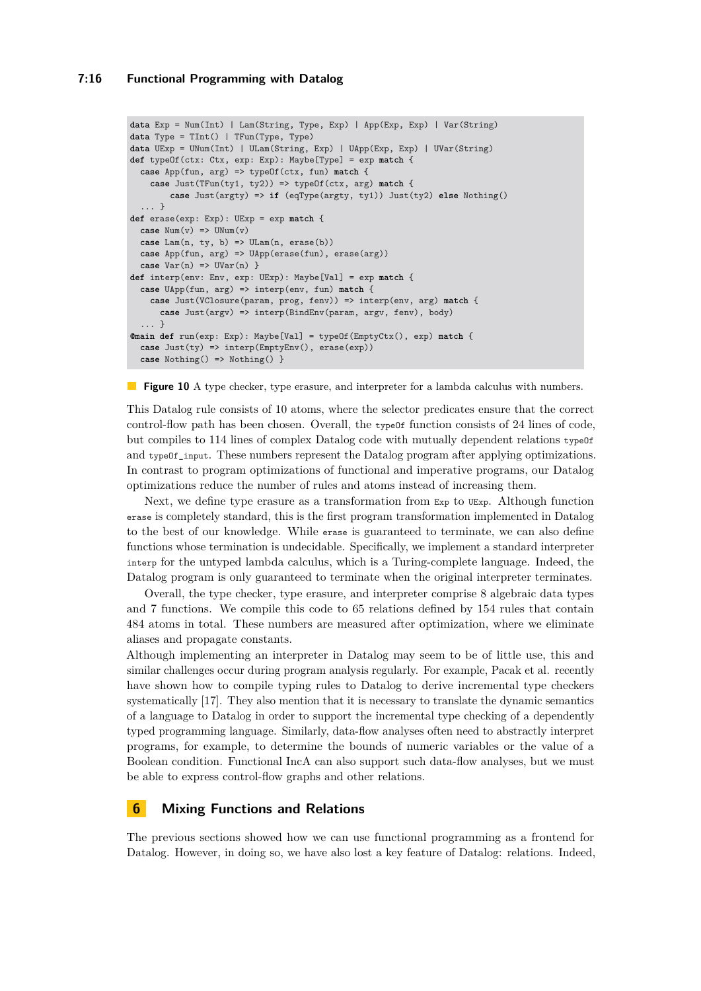### **7:16 Functional Programming with Datalog**

```
data Exp = Num(Int) | Lam(String, Type, Exp) | App(Exp, Exp) | Var(String)
data Type = TInt() | TFun(Type, Type)
data UExp = UNum(Int) | ULam(String, Exp) | UApp(Exp, Exp) | UVar(String)
def typeOf(ctx: Ctx, exp: Exp): Maybe[Type] = exp match {
  case App(fun, arg) => typeOf(ctx, fun) match {
    case Just(TFun(ty1, ty2)) => typeOf(ctx, arg) match {
       case Just(argty) => if (eqType(argty, ty1)) Just(ty2) else Nothing()
  ... }
def erase(exp: Exp): UExp = exp match {
  case Num(v) \Rightarrow UNum(v)case Lam(n, ty, b) => ULam(n, erase(b))
  case App(fun, arg) => UApp(erase(fun), erase(arg))
 case \text{Var}(n) \Rightarrow \text{UVar}(n) \}def interp(env: Env, exp: UExp): Maybe[Val] = exp match {
  case UApp(fun, arg) => interp(env, fun) match {
    case Just(VClosure(param, prog, fenv)) => interp(env, arg) match {
      case Just(argv) => interp(BindEnv(param, argv, fenv), body)
  ... }
@main def run(exp: Exp): Maybe[Val] = typeOf(EmptyCtx(), exp) match {
  case Just(ty) => interp(EmptyEnv(), erase(exp))
  case Nothing() => Nothing() }
```
**Figure 10** A type checker, type erasure, and interpreter for a lambda calculus with numbers.

This Datalog rule consists of 10 atoms, where the selector predicates ensure that the correct control-flow path has been chosen. Overall, the type of function consists of  $24$  lines of code, but compiles to 114 lines of complex Datalog code with mutually dependent relations typeOf and typeOf\_input. These numbers represent the Datalog program after applying optimizations. In contrast to program optimizations of functional and imperative programs, our Datalog optimizations reduce the number of rules and atoms instead of increasing them.

Next, we define type erasure as a transformation from Exp to UExp. Although function erase is completely standard, this is the first program transformation implemented in Datalog to the best of our knowledge. While erase is guaranteed to terminate, we can also define functions whose termination is undecidable. Specifically, we implement a standard interpreter interp for the untyped lambda calculus, which is a Turing-complete language. Indeed, the Datalog program is only guaranteed to terminate when the original interpreter terminates.

Overall, the type checker, type erasure, and interpreter comprise 8 algebraic data types and 7 functions. We compile this code to 65 relations defined by 154 rules that contain 484 atoms in total. These numbers are measured after optimization, where we eliminate aliases and propagate constants.

Although implementing an interpreter in Datalog may seem to be of little use, this and similar challenges occur during program analysis regularly. For example, Pacak et al. recently have shown how to compile typing rules to Datalog to derive incremental type checkers systematically [\[17\]](#page-26-7). They also mention that it is necessary to translate the dynamic semantics of a language to Datalog in order to support the incremental type checking of a dependently typed programming language. Similarly, data-flow analyses often need to abstractly interpret programs, for example, to determine the bounds of numeric variables or the value of a Boolean condition. Functional IncA can also support such data-flow analyses, but we must be able to express control-flow graphs and other relations.

# <span id="page-15-0"></span>**6 Mixing Functions and Relations**

The previous sections showed how we can use functional programming as a frontend for Datalog. However, in doing so, we have also lost a key feature of Datalog: relations. Indeed,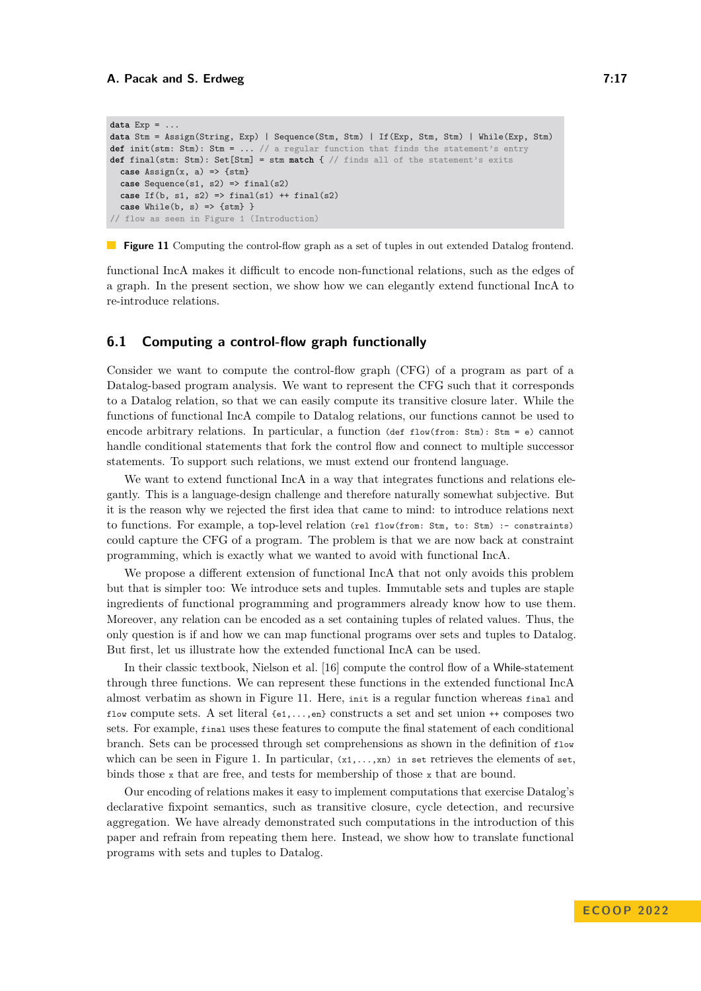```
data Exp = ...
data Stm = Assign(String, Exp) | Sequence(Stm, Stm) | If(Exp, Stm, Stm) | While(Exp, Stm)
def init(stm: Stm): Stm = ... // a regular function that finds the statement's entry
def final(stm: Stm): Set[Stm] = stm match { // finds all of the statement's exits
 case Assign(x, a) \implies \{stm\}case Sequence(s1, s2) \Rightarrow final(s2)case If(b, s1, s2) => final(s1) ++ final(s2)
  case While(b, s) => {stm} }
// flow as seen in Figure 1 (Introduction)
```
**Figure 11** Computing the control-flow graph as a set of tuples in out extended Datalog frontend.

functional IncA makes it difficult to encode non-functional relations, such as the edges of a graph. In the present section, we show how we can elegantly extend functional IncA to re-introduce relations.

# **6.1 Computing a control-flow graph functionally**

Consider we want to compute the control-flow graph (CFG) of a program as part of a Datalog-based program analysis. We want to represent the CFG such that it corresponds to a Datalog relation, so that we can easily compute its transitive closure later. While the functions of functional IncA compile to Datalog relations, our functions cannot be used to encode arbitrary relations. In particular, a function (def flow(from: Stm): Stm = e) cannot handle conditional statements that fork the control flow and connect to multiple successor statements. To support such relations, we must extend our frontend language.

We want to extend functional IncA in a way that integrates functions and relations elegantly. This is a language-design challenge and therefore naturally somewhat subjective. But it is the reason why we rejected the first idea that came to mind: to introduce relations next to functions. For example, a top-level relation (rel flow(from: Stm, to: Stm) :- constraints) could capture the CFG of a program. The problem is that we are now back at constraint programming, which is exactly what we wanted to avoid with functional IncA.

We propose a different extension of functional IncA that not only avoids this problem but that is simpler too: We introduce sets and tuples. Immutable sets and tuples are staple ingredients of functional programming and programmers already know how to use them. Moreover, any relation can be encoded as a set containing tuples of related values. Thus, the only question is if and how we can map functional programs over sets and tuples to Datalog. But first, let us illustrate how the extended functional IncA can be used.

In their classic textbook, Nielson et al. [\[16\]](#page-26-4) compute the control flow of a While-statement through three functions. We can represent these functions in the extended functional IncA almost verbatim as shown in [Figure 11.](#page-16-0) Here, init is a regular function whereas final and flow compute sets. A set literal {e1,...,en} constructs a set and set union ++ composes two sets. For example, final uses these features to compute the final statement of each conditional branch. Sets can be processed through set comprehensions as shown in the definition of flow which can be seen in [Figure 1.](#page-1-0) In particular,  $(x_1,...,x_n)$  in set retrieves the elements of set, binds those x that are free, and tests for membership of those x that are bound.

Our encoding of relations makes it easy to implement computations that exercise Datalog's declarative fixpoint semantics, such as transitive closure, cycle detection, and recursive aggregation. We have already demonstrated such computations in the introduction of this paper and refrain from repeating them here. Instead, we show how to translate functional programs with sets and tuples to Datalog.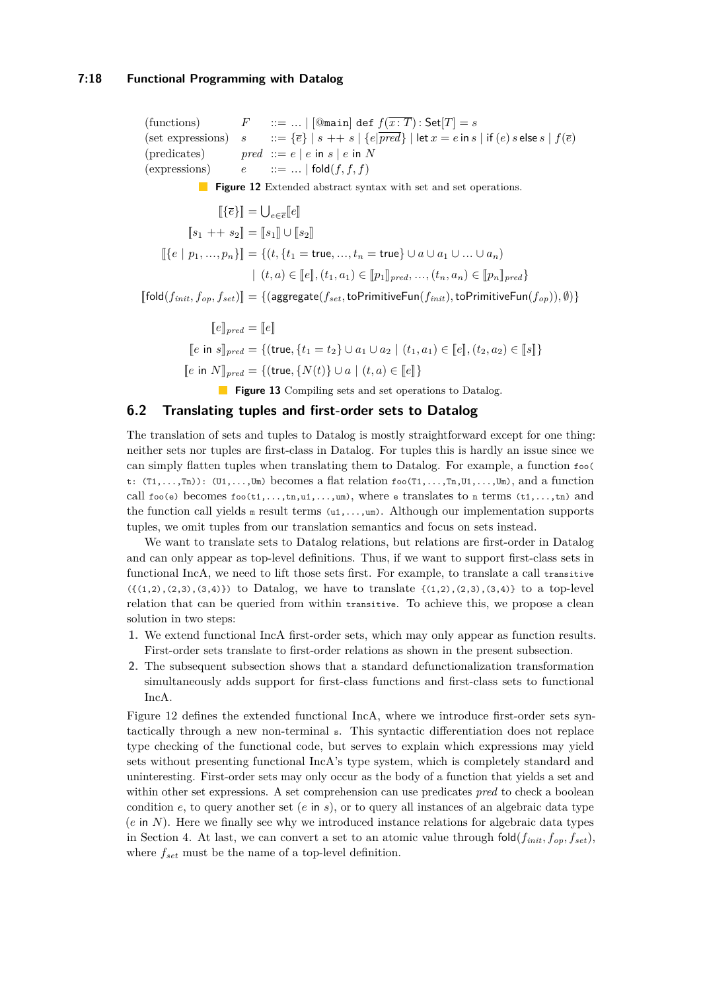### **7:18 Functional Programming with Datalog**

<span id="page-17-1"></span><span id="page-17-0"></span>(functions)  $F : := ... | [\text{③main}] \text{ def } f(\overline{x : T}) : \text{Set}[T] = s$ (set expressions)  $s$  ::=  $\{\overline{e}\}\,|\,s + \pm s\,|\,\{e|\overline{pred}\}\,|\,|\text{let } x = e \text{ in } s\,|\,\text{if }(e) \,s \text{ else } s\,|\,\text{f}(\overline{e})$ (predicates) *pred* ::=  $e | e$  in  $s | e$  in  $N$ (expressions)  $e$   $:= \dots |$  fold $(f, f, f)$ **Figure 12** Extended abstract syntax with set and set operations.  $[[\{\overline{e}\}]] = \bigcup_{e \in \overline{e}} [e]]$  $[s_1 + s_2] = [s_1] \cup [s_2]$  $[\{e \mid p_1, ..., p_n\}]=\{(t, \{t_1 = \text{true}, ..., t_n = \text{true}\} \cup a \cup a_1 \cup ... \cup a_n)\}$  $\{ (t, a) \in [e], (t_1, a_1) \in [p_1]_{pred}, ..., (t_n, a_n) \in [p_n]_{pred} \}$ 

 $[\text{fold}(f_{init}, f_{op}, f_{set})] = \{(\text{aggregate}(f_{set}, \text{toPrimitiveFun}(f_{init}), \text{toPrimitiveFun}(f_{op})), \emptyset)\}$ 

 $\llbracket e \rrbracket_{pred} = \llbracket e \rrbracket$ *[</math><i>e</i> in <i>s</i>], <i>def</i> = {<i>f</i>(true, {<i>t</i><sub>1</sub> = <i>t</i><sub>2</sub>} ∪ <i>a</i><sub>1</sub> ∪ <i>a</i><sub>2</sub> | (<i>t</i><sub>1</sub>, <i>a</i><sub>1</sub>) ∈ [<i>e</i>], (<i>t</i><sub>2</sub>, <i>a</i><sub>2</sub>) ∈ [<i>s</i>],*  $[e \text{ in } N]_{pred} = \{(true, \{N(t)\} \cup a \mid (t, a) \in [e]\}\$ 

**Figure 13** Compiling sets and set operations to Datalog.

# **6.2 Translating tuples and first-order sets to Datalog**

The translation of sets and tuples to Datalog is mostly straightforward except for one thing: neither sets nor tuples are first-class in Datalog. For tuples this is hardly an issue since we can simply flatten tuples when translating them to Datalog. For example, a function foo( t:  $(T_1,...,T_n)$ :  $(U_1,...,U_m)$  becomes a flat relation  $f \circ \circ (T_1,...,T_n,U_1,...,U_m)$ , and a function call  $f \circ \phi$  becomes  $f \circ \phi(t_1,...,t_n,u_1,...,u_m)$ , where e translates to n terms  $(t_1,...,t_n)$  and the function call yields  $m$  result terms  $(u_1,...,u_m)$ . Although our implementation supports tuples, we omit tuples from our translation semantics and focus on sets instead.

We want to translate sets to Datalog relations, but relations are first-order in Datalog and can only appear as top-level definitions. Thus, if we want to support first-class sets in functional IncA, we need to lift those sets first. For example, to translate a call transitive  $({(1,2),(2,3),(3,4)})$  to Datalog, we have to translate  ${(1,2),(2,3),(3,4)}$  to a top-level relation that can be queried from within transitive. To achieve this, we propose a clean solution in two steps:

- **1.** We extend functional IncA first-order sets, which may only appear as function results. First-order sets translate to first-order relations as shown in the present subsection.
- **2.** The subsequent subsection shows that a standard defunctionalization transformation simultaneously adds support for first-class functions and first-class sets to functional IncA.

[Figure 12](#page-17-0) defines the extended functional IncA, where we introduce first-order sets syntactically through a new non-terminal s. This syntactic differentiation does not replace type checking of the functional code, but serves to explain which expressions may yield sets without presenting functional IncA's type system, which is completely standard and uninteresting. First-order sets may only occur as the body of a function that yields a set and within other set expressions. A set comprehension can use predicates *pred* to check a boolean condition *e*, to query another set (*e* in *s*), or to query all instances of an algebraic data type  $(e \text{ in } N)$ . Here we finally see why we introduced instance relations for algebraic data types in [Section 4.](#page-11-0) At last, we can convert a set to an atomic value through  $\text{fold}(f_{init}, f_{op}, f_{set})$ , where *fset* must be the name of a top-level definition.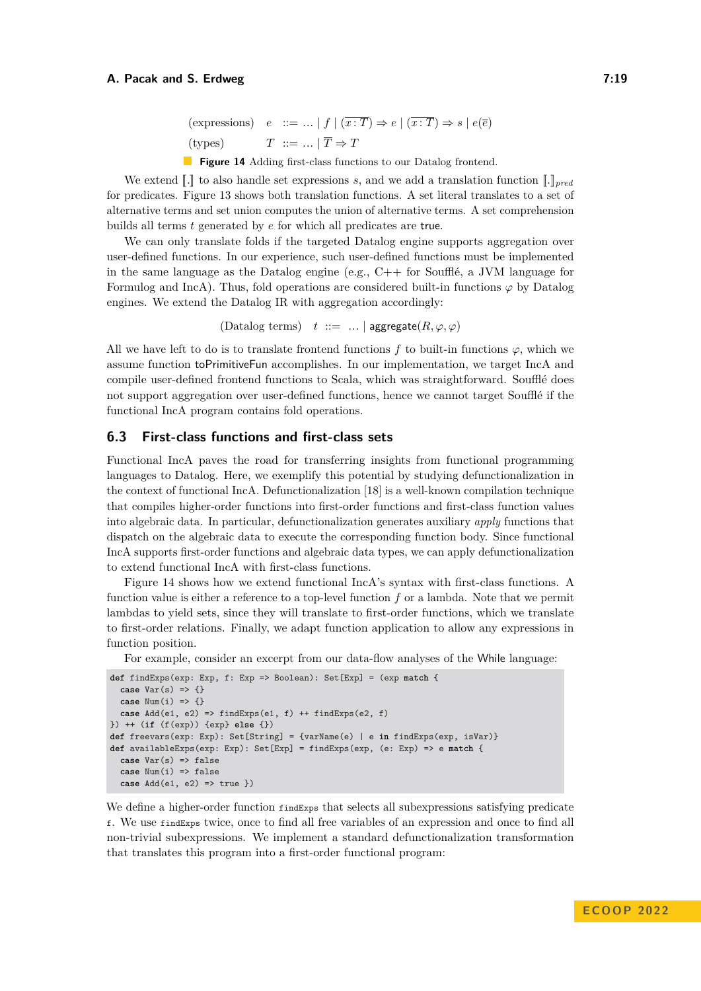```
(\text{expressions}) \quad e \quad ::= \dots \mid f \mid (\overline{x} : \overline{T}) \Rightarrow e \mid (\overline{x} : \overline{T}) \Rightarrow s \mid e(\overline{e})(types) T := \dots | \overline{T} \Rightarrow T
```
**Figure 14** Adding first-class functions to our Datalog frontend.

<span id="page-18-0"></span>We extend  $\llbracket . \rrbracket$  to also handle set expressions *s*, and we add a translation function  $\llbracket . \rrbracket_{pred}$ for predicates. [Figure 13](#page-17-1) shows both translation functions. A set literal translates to a set of alternative terms and set union computes the union of alternative terms. A set comprehension builds all terms *t* generated by *e* for which all predicates are true.

We can only translate folds if the targeted Datalog engine supports aggregation over user-defined functions. In our experience, such user-defined functions must be implemented in the same language as the Datalog engine (e.g.,  $C++$  for Soufflé, a JVM language for Formulog and IncA). Thus, fold operations are considered built-in functions *ϕ* by Datalog engines. We extend the Datalog IR with aggregation accordingly:

(Datalog terms)  $t ::= ... |$  aggregate $(R, \varphi, \varphi)$ 

All we have left to do is to translate frontend functions  $f$  to built-in functions  $\varphi$ , which we assume function toPrimitiveFun accomplishes. In our implementation, we target IncA and compile user-defined frontend functions to Scala, which was straightforward. Soufflé does not support aggregation over user-defined functions, hence we cannot target Soufflé if the functional IncA program contains fold operations.

# **6.3 First-class functions and first-class sets**

Functional IncA paves the road for transferring insights from functional programming languages to Datalog. Here, we exemplify this potential by studying defunctionalization in the context of functional IncA. Defunctionalization [\[18\]](#page-26-8) is a well-known compilation technique that compiles higher-order functions into first-order functions and first-class function values into algebraic data. In particular, defunctionalization generates auxiliary *apply* functions that dispatch on the algebraic data to execute the corresponding function body. Since functional IncA supports first-order functions and algebraic data types, we can apply defunctionalization to extend functional IncA with first-class functions.

[Figure 14](#page-18-0) shows how we extend functional IncA's syntax with first-class functions. A function value is either a reference to a top-level function *f* or a lambda. Note that we permit lambdas to yield sets, since they will translate to first-order functions, which we translate to first-order relations. Finally, we adapt function application to allow any expressions in function position.

For example, consider an excerpt from our data-flow analyses of the While language:

```
def findExps(exp: Exp, f: Exp => Boolean): Set[Exp] = (exp match {
 case Var(s) => {}
 case Num(i) => {}
 case Add(e1, e2) => findExps(e1, f) ++ findExps(e2, f)
}) ++ (if (f(exp)) {exp} else {})
def freevars(exp: Exp): Set[String] = {varName(e) | e in findExps(exp, isVar)}
def availableExps(exp: Exp): Set[Exp] = findExps(exp, (e: Exp) => e match {
 case Var(s) => false
 case Num(i) => false
 case Add(e1, e2) => true })
```
We define a higher-order function find Exps that selects all subexpressions satisfying predicate f. We use findExps twice, once to find all free variables of an expression and once to find all non-trivial subexpressions. We implement a standard defunctionalization transformation that translates this program into a first-order functional program: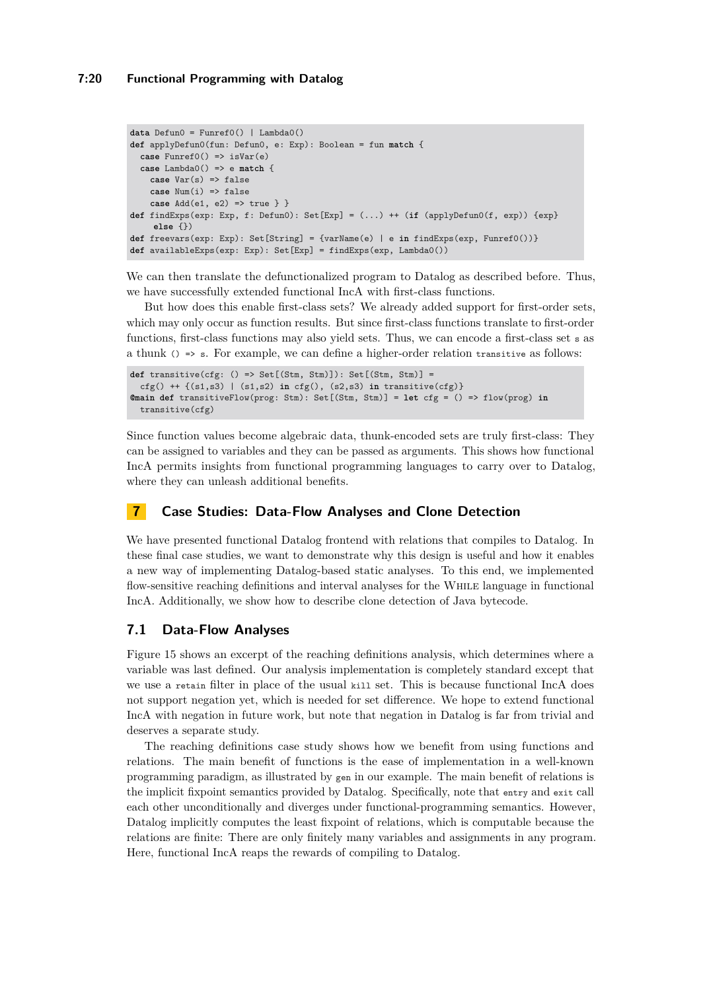### **7:20 Functional Programming with Datalog**

```
data Defun0 = Funref0() | Lambda0()
def applyDefun0(fun: Defun0, e: Exp): Boolean = fun match {
 case Funref0() => isVar(e)
  case Lambda0() => e match {
    case Var(s) => false
    case Num(i) => false
    case Add(e1, e2) => true } }
def findExps(exp: Exp, f: Defun0): Set[Exp] = (...) ++ (if (applyDefun0(f, exp)) {exp}
    else {})
def freevars(exp: Exp): Set[String] = {varName(e) | e in findExps(exp, Funref0())}
def availableExps(exp: Exp): Set[Exp] = findExps(exp, Lambda0())
```
We can then translate the defunctionalized program to Datalog as described before. Thus, we have successfully extended functional IncA with first-class functions.

But how does this enable first-class sets? We already added support for first-order sets, which may only occur as function results. But since first-class functions translate to first-order functions, first-class functions may also yield sets. Thus, we can encode a first-class set s as a thunk  $() \Rightarrow s$ . For example, we can define a higher-order relation transitive as follows:

```
def transitive(cfg: () => Set[(Stm, Stm)]): Set[(Stm, Stm)] =
  cfg() ++ {(s1,s3) | (s1,s2) in cfg(), (s2,s3) in transitive(cfg)}
@main def transitiveFlow(prog: Stm): Set[(Stm, Stm)] = let cfg = () => flow(prog) in
  transitive(cfg)
```
Since function values become algebraic data, thunk-encoded sets are truly first-class: They can be assigned to variables and they can be passed as arguments. This shows how functional IncA permits insights from functional programming languages to carry over to Datalog, where they can unleash additional benefits.

# **7 Case Studies: Data-Flow Analyses and Clone Detection**

We have presented functional Datalog frontend with relations that compiles to Datalog. In these final case studies, we want to demonstrate why this design is useful and how it enables a new way of implementing Datalog-based static analyses. To this end, we implemented flow-sensitive reaching definitions and interval analyses for the While language in functional IncA. Additionally, we show how to describe clone detection of Java bytecode.

# <span id="page-19-0"></span>**7.1 Data-Flow Analyses**

[Figure 15](#page-20-1) shows an excerpt of the reaching definitions analysis, which determines where a variable was last defined. Our analysis implementation is completely standard except that we use a retain filter in place of the usual kill set. This is because functional IncA does not support negation yet, which is needed for set difference. We hope to extend functional IncA with negation in future work, but note that negation in Datalog is far from trivial and deserves a separate study.

The reaching definitions case study shows how we benefit from using functions and relations. The main benefit of functions is the ease of implementation in a well-known programming paradigm, as illustrated by gen in our example. The main benefit of relations is the implicit fixpoint semantics provided by Datalog. Specifically, note that entry and exit call each other unconditionally and diverges under functional-programming semantics. However, Datalog implicitly computes the least fixpoint of relations, which is computable because the relations are finite: There are only finitely many variables and assignments in any program. Here, functional IncA reaps the rewards of compiling to Datalog.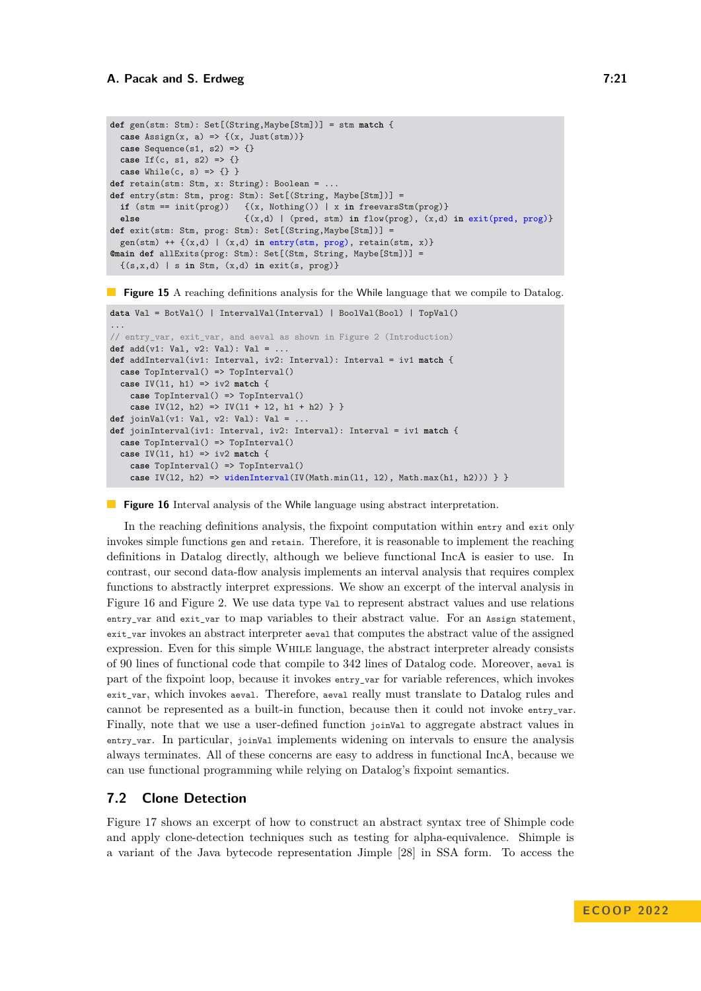```
def gen(stm: Stm): Set[(String,Maybe[Stm])] = stm match {
  case \text{Assim}(x, a) \Rightarrow \{(x, \text{Just}(\text{stm}))\}case Sequence(s1, s2) => {}
  case If(c, s1, s2) => {}
  case While(c, s) => {} }
def retain(stm: Stm, x: String): Boolean = ...
def entry(stm: Stm, prog: Stm): Set[(String, Maybe[Stm])] = if (stm == init(prog)) {(x, Nothing()) | x in freevarsS
                             if (stm == init(prog)) {(x, Nothing()) | x in freevarsStm(prog)}
  else {(x,d) | (pred, stm) in flow(prog), (x,d) in exit(pred, prog)}
def exit(stm: Stm, prog: Stm): Set[(String,Maybe[Stm])] =
  gen(stm) ++ {(x,d) | (x,d) in entry(stm, prog), retain(stm, x)}
@main def allExits(prog: Stm): Set[(Stm, String, Maybe[Stm])] =
  {(s,x,d) | s in Stm, (x,d) in exit(s, prog)}
```
<span id="page-20-2"></span>**Figure 15** A reaching definitions analysis for the While language that we compile to Datalog.

```
data Val = BotVal() | IntervalVal(Interval) | BoolVal(Bool) | TopVal()
...
// entry_var, exit_var, and aeval as shown in Figure 2 (Introduction)
def add(v1: Val, v2: Val): Val = ...
def addInterval(iv1: Interval, iv2: Interval): Interval = iv1 match {
 case TopInterval() => TopInterval()
 case IV(l1, h1) => iv2 match {
   case TopInterval() => TopInterval()
   case IV(12, h2) \implies IV(11 + 12, h1 + h2) } }
def joinVal(v1: Val, v2: Val): Val = ...
def joinInterval(iv1: Interval, iv2: Interval): Interval = iv1 match {
 case TopInterval() => TopInterval()
 case IV(l1, h1) => iv2 match {
    case TopInterval() => TopInterval()
   case IV(l2, h2) => widenInterval(IV(Math.min(l1, l2), Math.max(h1, h2))) } }
```
**Figure 16** Interval analysis of the While language using abstract interpretation.

In the reaching definitions analysis, the fixpoint computation within entry and exit only invokes simple functions gen and retain. Therefore, it is reasonable to implement the reaching definitions in Datalog directly, although we believe functional IncA is easier to use. In contrast, our second data-flow analysis implements an interval analysis that requires complex functions to abstractly interpret expressions. We show an excerpt of the interval analysis in [Figure 16](#page-20-2) and [Figure 2.](#page-2-0) We use data type Val to represent abstract values and use relations entry\_var and exit\_var to map variables to their abstract value. For an Assign statement, exit\_var invokes an abstract interpreter aeval that computes the abstract value of the assigned expression. Even for this simple While language, the abstract interpreter already consists of 90 lines of functional code that compile to 342 lines of Datalog code. Moreover, aeval is part of the fixpoint loop, because it invokes entry\_var for variable references, which invokes exit\_var, which invokes aeval. Therefore, aeval really must translate to Datalog rules and cannot be represented as a built-in function, because then it could not invoke entry\_var. Finally, note that we use a user-defined function joinVal to aggregate abstract values in entry\_var. In particular, joinVal implements widening on intervals to ensure the analysis always terminates. All of these concerns are easy to address in functional IncA, because we can use functional programming while relying on Datalog's fixpoint semantics.

# <span id="page-20-0"></span>**7.2 Clone Detection**

[Figure 17](#page-21-1) shows an excerpt of how to construct an abstract syntax tree of Shimple code and apply clone-detection techniques such as testing for alpha-equivalence. Shimple is a variant of the Java bytecode representation Jimple [\[28\]](#page-27-2) in SSA form. To access the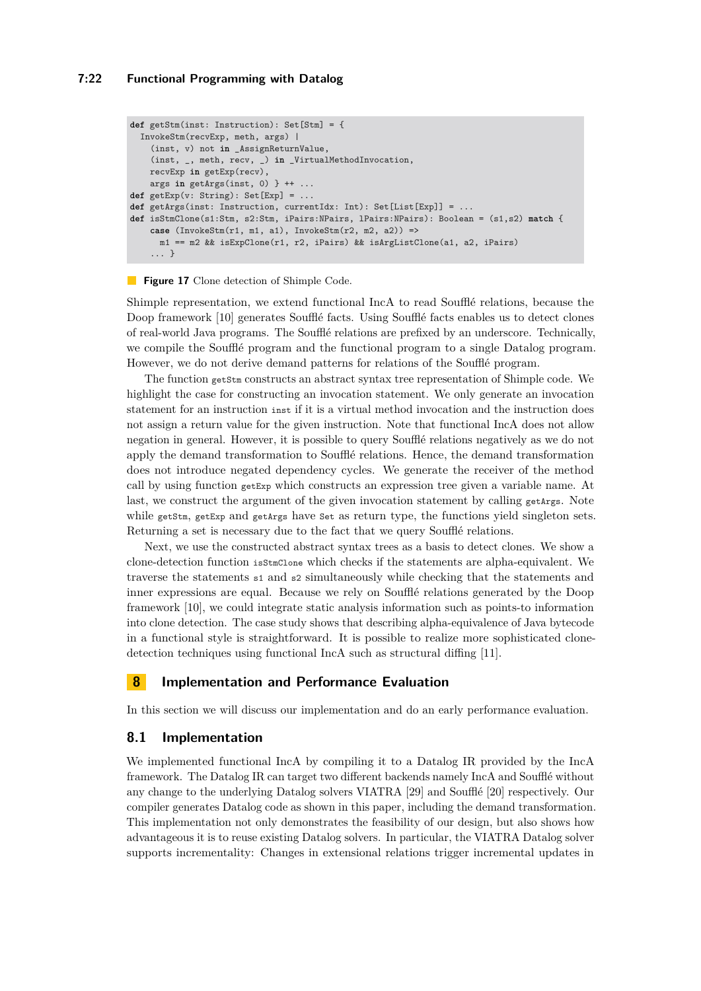### **7:22 Functional Programming with Datalog**

```
def getStm(inst: Instruction): Set[Stm] = {
 InvokeStm(recvExp, meth, args) |
    (inst, v) not in _AssignReturnValue,
    (inst, _, meth, recv, _) in _VirtualMethodInvocation,
   recvExp in getExp(recv),
   args in getArgs(inst, 0) } ++ ...
def getExp(v: String): Set[Exp] = ...
def getArgs(inst: Instruction, currentIdx: Int): Set[List[Exp]] = ...
def isStmClone(s1:Stm, s2:Stm, iPairs:NPairs, lPairs:NPairs): Boolean = (s1,s2) match {
   case (InvokeStm(r1, m1, a1), InvokeStm(r2, m2, a2)) =>
     m1 == m2 && isExpClone(r1, r2, iPairs) && isArgListClone(a1, a2, iPairs)
    ... }
```
### **Figure 17** Clone detection of Shimple Code.

Shimple representation, we extend functional IncA to read Soufflé relations, because the Doop framework [\[10\]](#page-25-0) generates Soufflé facts. Using Soufflé facts enables us to detect clones of real-world Java programs. The Soufflé relations are prefixed by an underscore. Technically, we compile the Soufflé program and the functional program to a single Datalog program. However, we do not derive demand patterns for relations of the Soufflé program.

The function getStm constructs an abstract syntax tree representation of Shimple code. We highlight the case for constructing an invocation statement. We only generate an invocation statement for an instruction inst if it is a virtual method invocation and the instruction does not assign a return value for the given instruction. Note that functional IncA does not allow negation in general. However, it is possible to query Soufflé relations negatively as we do not apply the demand transformation to Soufflé relations. Hence, the demand transformation does not introduce negated dependency cycles. We generate the receiver of the method call by using function  $g$ etExp which constructs an expression tree given a variable name. At last, we construct the argument of the given invocation statement by calling getArgs. Note while getStm, getExp and getArgs have Set as return type, the functions yield singleton sets. Returning a set is necessary due to the fact that we query Soufflé relations.

Next, we use the constructed abstract syntax trees as a basis to detect clones. We show a clone-detection function isStmClone which checks if the statements are alpha-equivalent. We traverse the statements s1 and s2 simultaneously while checking that the statements and inner expressions are equal. Because we rely on Soufflé relations generated by the Doop framework [\[10\]](#page-25-0), we could integrate static analysis information such as points-to information into clone detection. The case study shows that describing alpha-equivalence of Java bytecode in a functional style is straightforward. It is possible to realize more sophisticated clonedetection techniques using functional IncA such as structural diffing [\[11\]](#page-25-8).

# <span id="page-21-0"></span>**8 Implementation and Performance Evaluation**

In this section we will discuss our implementation and do an early performance evaluation.

# **8.1 Implementation**

We implemented functional IncA by compiling it to a Datalog IR provided by the IncA framework. The Datalog IR can target two different backends namely IncA and Soufflé without any change to the underlying Datalog solvers VIATRA [\[29\]](#page-27-0) and Soufflé [\[20\]](#page-26-5) respectively. Our compiler generates Datalog code as shown in this paper, including the demand transformation. This implementation not only demonstrates the feasibility of our design, but also shows how advantageous it is to reuse existing Datalog solvers. In particular, the VIATRA Datalog solver supports incrementality: Changes in extensional relations trigger incremental updates in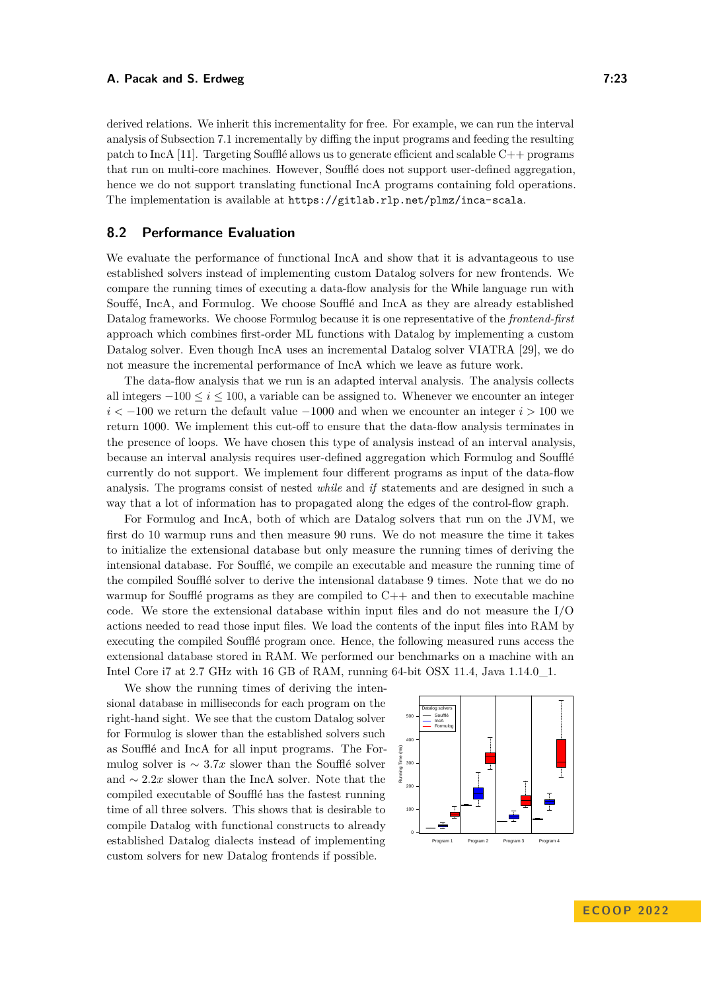derived relations. We inherit this incrementality for free. For example, we can run the interval analysis of [Subsection 7.1](#page-19-0) incrementally by diffing the input programs and feeding the resulting patch to IncA [\[11\]](#page-25-8). Targeting Soufflé allows us to generate efficient and scalable  $C++$  programs that run on multi-core machines. However, Soufflé does not support user-defined aggregation, hence we do not support translating functional IncA programs containing fold operations. The implementation is available at <https://gitlab.rlp.net/plmz/inca-scala>.

# **8.2 Performance Evaluation**

We evaluate the performance of functional IncA and show that it is advantageous to use established solvers instead of implementing custom Datalog solvers for new frontends. We compare the running times of executing a data-flow analysis for the While language run with Souffé, IncA, and Formulog. We choose Soufflé and IncA as they are already established Datalog frameworks. We choose Formulog because it is one representative of the *frontend-first* approach which combines first-order ML functions with Datalog by implementing a custom Datalog solver. Even though IncA uses an incremental Datalog solver VIATRA [\[29\]](#page-27-0), we do not measure the incremental performance of IncA which we leave as future work.

The data-flow analysis that we run is an adapted interval analysis. The analysis collects all integers  $-100 \le i \le 100$ , a variable can be assigned to. Whenever we encounter an integer *i*  $\leq$  −100 we return the default value −1000 and when we encounter an integer *i* > 100 we return 1000. We implement this cut-off to ensure that the data-flow analysis terminates in the presence of loops. We have chosen this type of analysis instead of an interval analysis, because an interval analysis requires user-defined aggregation which Formulog and Soufflé currently do not support. We implement four different programs as input of the data-flow analysis. The programs consist of nested *while* and *if* statements and are designed in such a way that a lot of information has to propagated along the edges of the control-flow graph.

For Formulog and IncA, both of which are Datalog solvers that run on the JVM, we first do 10 warmup runs and then measure 90 runs. We do not measure the time it takes to initialize the extensional database but only measure the running times of deriving the intensional database. For Soufflé, we compile an executable and measure the running time of the compiled Soufflé solver to derive the intensional database 9 times. Note that we do no warmup for Soufflé programs as they are compiled to  $C++$  and then to executable machine code. We store the extensional database within input files and do not measure the I/O actions needed to read those input files. We load the contents of the input files into RAM by executing the compiled Soufflé program once. Hence, the following measured runs access the extensional database stored in RAM. We performed our benchmarks on a machine with an Intel Core i7 at 2.7 GHz with 16 GB of RAM, running 64-bit OSX 11.4, Java 1.14.0\_1.

We show the running times of deriving the intensional database in milliseconds for each program on the right-hand sight. We see that the custom Datalog solver for Formulog is slower than the established solvers such as Soufflé and IncA for all input programs. The Formulog solver is  $\sim 3.7x$  slower than the Soufflé solver and ∼ 2*.*2*x* slower than the IncA solver. Note that the compiled executable of Soufflé has the fastest running time of all three solvers. This shows that is desirable to compile Datalog with functional constructs to already established Datalog dialects instead of implementing custom solvers for new Datalog frontends if possible.

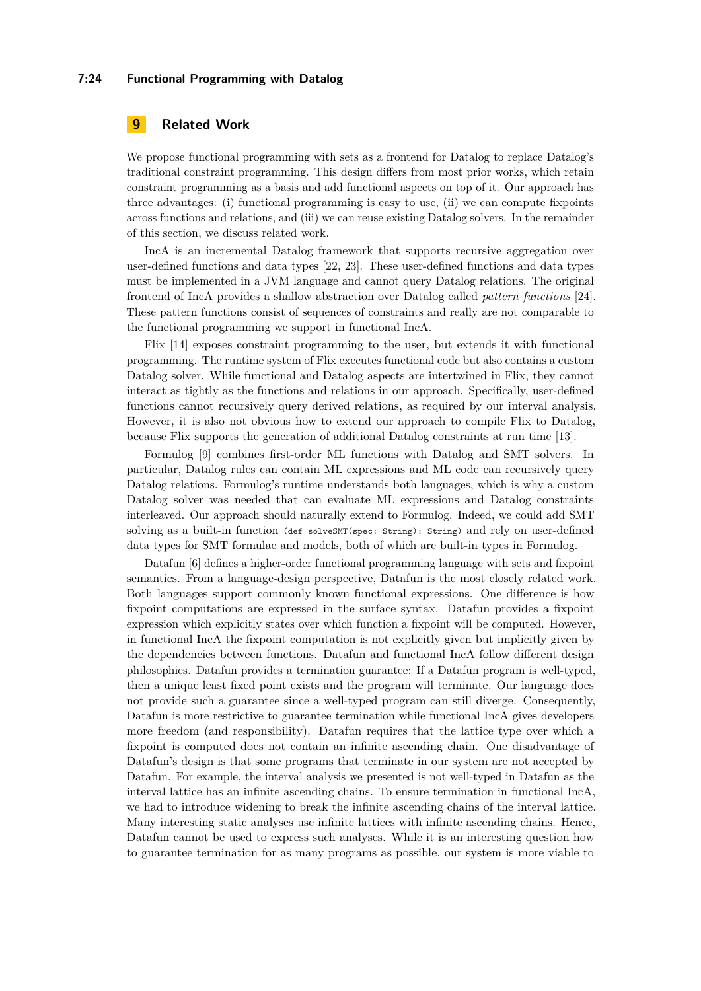#### **7:24 Functional Programming with Datalog**

# **9 Related Work**

We propose functional programming with sets as a frontend for Datalog to replace Datalog's traditional constraint programming. This design differs from most prior works, which retain constraint programming as a basis and add functional aspects on top of it. Our approach has three advantages: (i) functional programming is easy to use, (ii) we can compute fixpoints across functions and relations, and (iii) we can reuse existing Datalog solvers. In the remainder of this section, we discuss related work.

IncA is an incremental Datalog framework that supports recursive aggregation over user-defined functions and data types [\[22,](#page-26-10) [23\]](#page-26-3). These user-defined functions and data types must be implemented in a JVM language and cannot query Datalog relations. The original frontend of IncA provides a shallow abstraction over Datalog called *pattern functions* [\[24\]](#page-26-12). These pattern functions consist of sequences of constraints and really are not comparable to the functional programming we support in functional IncA.

Flix [\[14\]](#page-26-11) exposes constraint programming to the user, but extends it with functional programming. The runtime system of Flix executes functional code but also contains a custom Datalog solver. While functional and Datalog aspects are intertwined in Flix, they cannot interact as tightly as the functions and relations in our approach. Specifically, user-defined functions cannot recursively query derived relations, as required by our interval analysis. However, it is also not obvious how to extend our approach to compile Flix to Datalog, because Flix supports the generation of additional Datalog constraints at run time [\[13\]](#page-26-2).

Formulog [\[9\]](#page-25-4) combines first-order ML functions with Datalog and SMT solvers. In particular, Datalog rules can contain ML expressions and ML code can recursively query Datalog relations. Formulog's runtime understands both languages, which is why a custom Datalog solver was needed that can evaluate ML expressions and Datalog constraints interleaved. Our approach should naturally extend to Formulog. Indeed, we could add SMT solving as a built-in function (def solveSMT(spec: String): String) and rely on user-defined data types for SMT formulae and models, both of which are built-in types in Formulog.

Datafun [\[6\]](#page-25-5) defines a higher-order functional programming language with sets and fixpoint semantics. From a language-design perspective, Datafun is the most closely related work. Both languages support commonly known functional expressions. One difference is how fixpoint computations are expressed in the surface syntax. Datafun provides a fixpoint expression which explicitly states over which function a fixpoint will be computed. However, in functional IncA the fixpoint computation is not explicitly given but implicitly given by the dependencies between functions. Datafun and functional IncA follow different design philosophies. Datafun provides a termination guarantee: If a Datafun program is well-typed, then a unique least fixed point exists and the program will terminate. Our language does not provide such a guarantee since a well-typed program can still diverge. Consequently, Datafun is more restrictive to guarantee termination while functional IncA gives developers more freedom (and responsibility). Datafun requires that the lattice type over which a fixpoint is computed does not contain an infinite ascending chain. One disadvantage of Datafun's design is that some programs that terminate in our system are not accepted by Datafun. For example, the interval analysis we presented is not well-typed in Datafun as the interval lattice has an infinite ascending chains. To ensure termination in functional IncA, we had to introduce widening to break the infinite ascending chains of the interval lattice. Many interesting static analyses use infinite lattices with infinite ascending chains. Hence, Datafun cannot be used to express such analyses. While it is an interesting question how to guarantee termination for as many programs as possible, our system is more viable to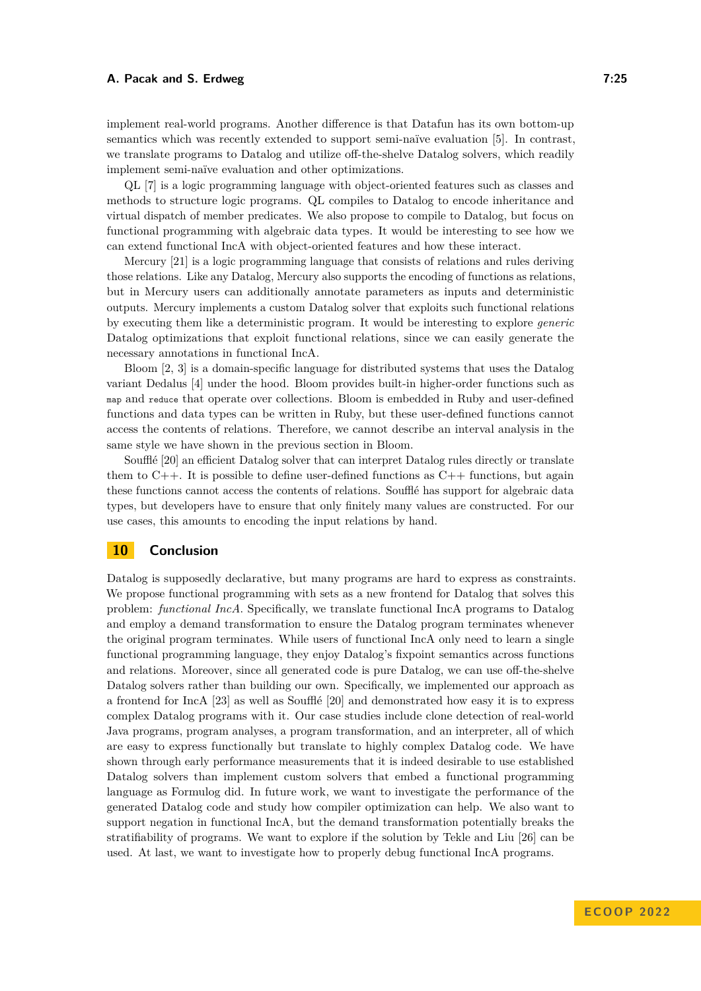implement real-world programs. Another difference is that Datafun has its own bottom-up semantics which was recently extended to support semi-naïve evaluation [\[5\]](#page-25-6). In contrast, we translate programs to Datalog and utilize off-the-shelve Datalog solvers, which readily implement semi-naïve evaluation and other optimizations.

QL [\[7\]](#page-25-9) is a logic programming language with object-oriented features such as classes and methods to structure logic programs. QL compiles to Datalog to encode inheritance and virtual dispatch of member predicates. We also propose to compile to Datalog, but focus on functional programming with algebraic data types. It would be interesting to see how we can extend functional IncA with object-oriented features and how these interact.

Mercury [\[21\]](#page-26-13) is a logic programming language that consists of relations and rules deriving those relations. Like any Datalog, Mercury also supports the encoding of functions as relations, but in Mercury users can additionally annotate parameters as inputs and deterministic outputs. Mercury implements a custom Datalog solver that exploits such functional relations by executing them like a deterministic program. It would be interesting to explore *generic* Datalog optimizations that exploit functional relations, since we can easily generate the necessary annotations in functional IncA.

Bloom [\[2,](#page-25-2) [3\]](#page-25-3) is a domain-specific language for distributed systems that uses the Datalog variant Dedalus [\[4\]](#page-25-10) under the hood. Bloom provides built-in higher-order functions such as map and reduce that operate over collections. Bloom is embedded in Ruby and user-defined functions and data types can be written in Ruby, but these user-defined functions cannot access the contents of relations. Therefore, we cannot describe an interval analysis in the same style we have shown in the previous section in Bloom.

Soufflé [\[20\]](#page-26-5) an efficient Datalog solver that can interpret Datalog rules directly or translate them to  $C_{++}$ . It is possible to define user-defined functions as  $C_{++}$  functions, but again these functions cannot access the contents of relations. Soufflé has support for algebraic data types, but developers have to ensure that only finitely many values are constructed. For our use cases, this amounts to encoding the input relations by hand.

# **10 Conclusion**

Datalog is supposedly declarative, but many programs are hard to express as constraints. We propose functional programming with sets as a new frontend for Datalog that solves this problem: *functional IncA*. Specifically, we translate functional IncA programs to Datalog and employ a demand transformation to ensure the Datalog program terminates whenever the original program terminates. While users of functional IncA only need to learn a single functional programming language, they enjoy Datalog's fixpoint semantics across functions and relations. Moreover, since all generated code is pure Datalog, we can use off-the-shelve Datalog solvers rather than building our own. Specifically, we implemented our approach as a frontend for IncA [\[23\]](#page-26-3) as well as Soufflé [\[20\]](#page-26-5) and demonstrated how easy it is to express complex Datalog programs with it. Our case studies include clone detection of real-world Java programs, program analyses, a program transformation, and an interpreter, all of which are easy to express functionally but translate to highly complex Datalog code. We have shown through early performance measurements that it is indeed desirable to use established Datalog solvers than implement custom solvers that embed a functional programming language as Formulog did. In future work, we want to investigate the performance of the generated Datalog code and study how compiler optimization can help. We also want to support negation in functional IncA, but the demand transformation potentially breaks the stratifiability of programs. We want to explore if the solution by Tekle and Liu [\[26\]](#page-27-3) can be used. At last, we want to investigate how to properly debug functional IncA programs.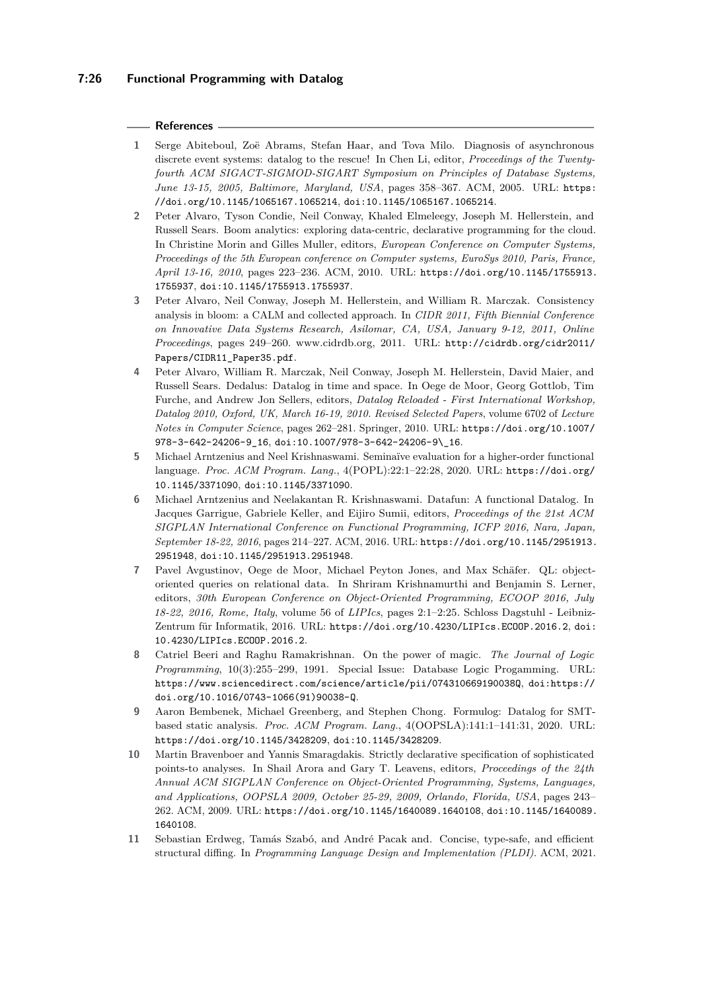# **7:26 Functional Programming with Datalog**

#### **References**

- <span id="page-25-1"></span>**1** Serge Abiteboul, Zoë Abrams, Stefan Haar, and Tova Milo. Diagnosis of asynchronous discrete event systems: datalog to the rescue! In Chen Li, editor, *Proceedings of the Twentyfourth ACM SIGACT-SIGMOD-SIGART Symposium on Principles of Database Systems, June 13-15, 2005, Baltimore, Maryland, USA*, pages 358–367. ACM, 2005. URL: [https:](https://doi.org/10.1145/1065167.1065214) [//doi.org/10.1145/1065167.1065214](https://doi.org/10.1145/1065167.1065214), [doi:10.1145/1065167.1065214](http://dx.doi.org/10.1145/1065167.1065214).
- <span id="page-25-2"></span>**2** Peter Alvaro, Tyson Condie, Neil Conway, Khaled Elmeleegy, Joseph M. Hellerstein, and Russell Sears. Boom analytics: exploring data-centric, declarative programming for the cloud. In Christine Morin and Gilles Muller, editors, *European Conference on Computer Systems, Proceedings of the 5th European conference on Computer systems, EuroSys 2010, Paris, France, April 13-16, 2010*, pages 223–236. ACM, 2010. URL: [https://doi.org/10.1145/1755913.](https://doi.org/10.1145/1755913.1755937) [1755937](https://doi.org/10.1145/1755913.1755937), [doi:10.1145/1755913.1755937](http://dx.doi.org/10.1145/1755913.1755937).
- <span id="page-25-3"></span>**3** Peter Alvaro, Neil Conway, Joseph M. Hellerstein, and William R. Marczak. Consistency analysis in bloom: a CALM and collected approach. In *CIDR 2011, Fifth Biennial Conference on Innovative Data Systems Research, Asilomar, CA, USA, January 9-12, 2011, Online Proceedings*, pages 249–260. www.cidrdb.org, 2011. URL: [http://cidrdb.org/cidr2011/](http://cidrdb.org/cidr2011/Papers/CIDR11_Paper35.pdf) [Papers/CIDR11\\_Paper35.pdf](http://cidrdb.org/cidr2011/Papers/CIDR11_Paper35.pdf).
- <span id="page-25-10"></span>**4** Peter Alvaro, William R. Marczak, Neil Conway, Joseph M. Hellerstein, David Maier, and Russell Sears. Dedalus: Datalog in time and space. In Oege de Moor, Georg Gottlob, Tim Furche, and Andrew Jon Sellers, editors, *Datalog Reloaded - First International Workshop, Datalog 2010, Oxford, UK, March 16-19, 2010. Revised Selected Papers*, volume 6702 of *Lecture Notes in Computer Science*, pages 262–281. Springer, 2010. URL: [https://doi.org/10.1007/](https://doi.org/10.1007/978-3-642-24206-9_16) [978-3-642-24206-9\\_16](https://doi.org/10.1007/978-3-642-24206-9_16), [doi:10.1007/978-3-642-24206-9\\\_16](http://dx.doi.org/10.1007/978-3-642-24206-9_16).
- <span id="page-25-6"></span>**5** Michael Arntzenius and Neel Krishnaswami. Seminaïve evaluation for a higher-order functional language. *Proc. ACM Program. Lang.*, 4(POPL):22:1–22:28, 2020. URL: [https://doi.org/](https://doi.org/10.1145/3371090) [10.1145/3371090](https://doi.org/10.1145/3371090), [doi:10.1145/3371090](http://dx.doi.org/10.1145/3371090).
- <span id="page-25-5"></span>**6** Michael Arntzenius and Neelakantan R. Krishnaswami. Datafun: A functional Datalog. In Jacques Garrigue, Gabriele Keller, and Eijiro Sumii, editors, *Proceedings of the 21st ACM SIGPLAN International Conference on Functional Programming, ICFP 2016, Nara, Japan, September 18-22, 2016*, pages 214–227. ACM, 2016. URL: [https://doi.org/10.1145/2951913.](https://doi.org/10.1145/2951913.2951948) [2951948](https://doi.org/10.1145/2951913.2951948), [doi:10.1145/2951913.2951948](http://dx.doi.org/10.1145/2951913.2951948).
- <span id="page-25-9"></span>**7** Pavel Avgustinov, Oege de Moor, Michael Peyton Jones, and Max Schäfer. QL: objectoriented queries on relational data. In Shriram Krishnamurthi and Benjamin S. Lerner, editors, *30th European Conference on Object-Oriented Programming, ECOOP 2016, July 18-22, 2016, Rome, Italy*, volume 56 of *LIPIcs*, pages 2:1–2:25. Schloss Dagstuhl - Leibniz-Zentrum für Informatik, 2016. URL: <https://doi.org/10.4230/LIPIcs.ECOOP.2016.2>, [doi:](http://dx.doi.org/10.4230/LIPIcs.ECOOP.2016.2) [10.4230/LIPIcs.ECOOP.2016.2](http://dx.doi.org/10.4230/LIPIcs.ECOOP.2016.2).
- <span id="page-25-7"></span>**8** Catriel Beeri and Raghu Ramakrishnan. On the power of magic. *The Journal of Logic Programming*, 10(3):255–299, 1991. Special Issue: Database Logic Progamming. URL: <https://www.sciencedirect.com/science/article/pii/074310669190038Q>, [doi:https://](http://dx.doi.org/https://doi.org/10.1016/0743-1066(91)90038-Q) [doi.org/10.1016/0743-1066\(91\)90038-Q](http://dx.doi.org/https://doi.org/10.1016/0743-1066(91)90038-Q).
- <span id="page-25-4"></span>**9** Aaron Bembenek, Michael Greenberg, and Stephen Chong. Formulog: Datalog for SMTbased static analysis. *Proc. ACM Program. Lang.*, 4(OOPSLA):141:1–141:31, 2020. URL: <https://doi.org/10.1145/3428209>, [doi:10.1145/3428209](http://dx.doi.org/10.1145/3428209).
- <span id="page-25-0"></span>**10** Martin Bravenboer and Yannis Smaragdakis. Strictly declarative specification of sophisticated points-to analyses. In Shail Arora and Gary T. Leavens, editors, *Proceedings of the 24th Annual ACM SIGPLAN Conference on Object-Oriented Programming, Systems, Languages, and Applications, OOPSLA 2009, October 25-29, 2009, Orlando, Florida, USA*, pages 243– 262. ACM, 2009. URL: <https://doi.org/10.1145/1640089.1640108>, [doi:10.1145/1640089.](http://dx.doi.org/10.1145/1640089.1640108) [1640108](http://dx.doi.org/10.1145/1640089.1640108).
- <span id="page-25-8"></span>**11** Sebastian Erdweg, Tamás Szabó, and André Pacak and. Concise, type-safe, and efficient structural diffing. In *Programming Language Design and Implementation (PLDI)*. ACM, 2021.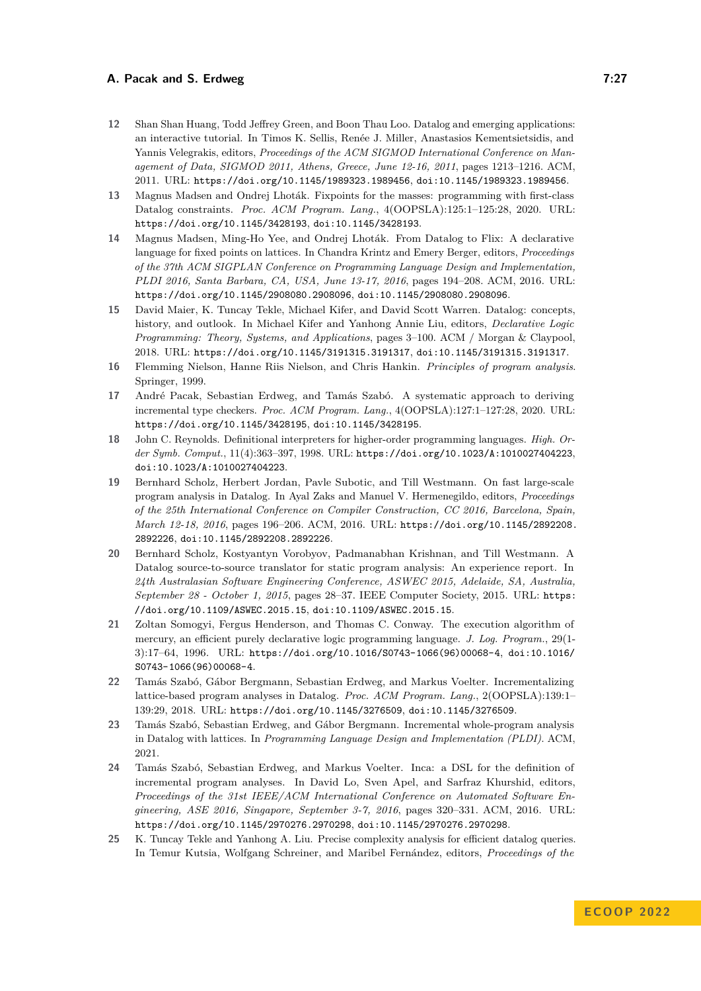- <span id="page-26-1"></span>**12** Shan Shan Huang, Todd Jeffrey Green, and Boon Thau Loo. Datalog and emerging applications: an interactive tutorial. In Timos K. Sellis, Renée J. Miller, Anastasios Kementsietsidis, and Yannis Velegrakis, editors, *Proceedings of the ACM SIGMOD International Conference on Management of Data, SIGMOD 2011, Athens, Greece, June 12-16, 2011*, pages 1213–1216. ACM, 2011. URL: <https://doi.org/10.1145/1989323.1989456>, [doi:10.1145/1989323.1989456](http://dx.doi.org/10.1145/1989323.1989456).
- <span id="page-26-2"></span>**13** Magnus Madsen and Ondrej Lhoták. Fixpoints for the masses: programming with first-class Datalog constraints. *Proc. ACM Program. Lang.*, 4(OOPSLA):125:1–125:28, 2020. URL: <https://doi.org/10.1145/3428193>, [doi:10.1145/3428193](http://dx.doi.org/10.1145/3428193).
- <span id="page-26-11"></span>**14** Magnus Madsen, Ming-Ho Yee, and Ondrej Lhoták. From Datalog to Flix: A declarative language for fixed points on lattices. In Chandra Krintz and Emery Berger, editors, *Proceedings of the 37th ACM SIGPLAN Conference on Programming Language Design and Implementation, PLDI 2016, Santa Barbara, CA, USA, June 13-17, 2016*, pages 194–208. ACM, 2016. URL: <https://doi.org/10.1145/2908080.2908096>, [doi:10.1145/2908080.2908096](http://dx.doi.org/10.1145/2908080.2908096).
- <span id="page-26-0"></span>**15** David Maier, K. Tuncay Tekle, Michael Kifer, and David Scott Warren. Datalog: concepts, history, and outlook. In Michael Kifer and Yanhong Annie Liu, editors, *Declarative Logic Programming: Theory, Systems, and Applications*, pages 3–100. ACM / Morgan & Claypool, 2018. URL: <https://doi.org/10.1145/3191315.3191317>, [doi:10.1145/3191315.3191317](http://dx.doi.org/10.1145/3191315.3191317).
- <span id="page-26-4"></span>**16** Flemming Nielson, Hanne Riis Nielson, and Chris Hankin. *Principles of program analysis*. Springer, 1999.
- <span id="page-26-7"></span>**17** André Pacak, Sebastian Erdweg, and Tamás Szabó. A systematic approach to deriving incremental type checkers. *Proc. ACM Program. Lang.*, 4(OOPSLA):127:1–127:28, 2020. URL: <https://doi.org/10.1145/3428195>, [doi:10.1145/3428195](http://dx.doi.org/10.1145/3428195).
- <span id="page-26-8"></span>**18** John C. Reynolds. Definitional interpreters for higher-order programming languages. *High. Order Symb. Comput.*, 11(4):363–397, 1998. URL: <https://doi.org/10.1023/A:1010027404223>, [doi:10.1023/A:1010027404223](http://dx.doi.org/10.1023/A:1010027404223).
- <span id="page-26-9"></span>**19** Bernhard Scholz, Herbert Jordan, Pavle Subotic, and Till Westmann. On fast large-scale program analysis in Datalog. In Ayal Zaks and Manuel V. Hermenegildo, editors, *Proceedings of the 25th International Conference on Compiler Construction, CC 2016, Barcelona, Spain, March 12-18, 2016*, pages 196–206. ACM, 2016. URL: [https://doi.org/10.1145/2892208.](https://doi.org/10.1145/2892208.2892226) [2892226](https://doi.org/10.1145/2892208.2892226), [doi:10.1145/2892208.2892226](http://dx.doi.org/10.1145/2892208.2892226).
- <span id="page-26-5"></span>**20** Bernhard Scholz, Kostyantyn Vorobyov, Padmanabhan Krishnan, and Till Westmann. A Datalog source-to-source translator for static program analysis: An experience report. In *24th Australasian Software Engineering Conference, ASWEC 2015, Adelaide, SA, Australia, September 28 - October 1, 2015*, pages 28–37. IEEE Computer Society, 2015. URL: [https:](https://doi.org/10.1109/ASWEC.2015.15) [//doi.org/10.1109/ASWEC.2015.15](https://doi.org/10.1109/ASWEC.2015.15), [doi:10.1109/ASWEC.2015.15](http://dx.doi.org/10.1109/ASWEC.2015.15).
- <span id="page-26-13"></span>**21** Zoltan Somogyi, Fergus Henderson, and Thomas C. Conway. The execution algorithm of mercury, an efficient purely declarative logic programming language. *J. Log. Program.*, 29(1- 3):17–64, 1996. URL: [https://doi.org/10.1016/S0743-1066\(96\)00068-4](https://doi.org/10.1016/S0743-1066(96)00068-4), [doi:10.1016/](http://dx.doi.org/10.1016/S0743-1066(96)00068-4) [S0743-1066\(96\)00068-4](http://dx.doi.org/10.1016/S0743-1066(96)00068-4).
- <span id="page-26-10"></span>**22** Tamás Szabó, Gábor Bergmann, Sebastian Erdweg, and Markus Voelter. Incrementalizing lattice-based program analyses in Datalog. *Proc. ACM Program. Lang.*, 2(OOPSLA):139:1– 139:29, 2018. URL: <https://doi.org/10.1145/3276509>, [doi:10.1145/3276509](http://dx.doi.org/10.1145/3276509).
- <span id="page-26-3"></span>**23** Tamás Szabó, Sebastian Erdweg, and Gábor Bergmann. Incremental whole-program analysis in Datalog with lattices. In *Programming Language Design and Implementation (PLDI)*. ACM, 2021.
- <span id="page-26-12"></span>**24** Tamás Szabó, Sebastian Erdweg, and Markus Voelter. Inca: a DSL for the definition of incremental program analyses. In David Lo, Sven Apel, and Sarfraz Khurshid, editors, *Proceedings of the 31st IEEE/ACM International Conference on Automated Software Engineering, ASE 2016, Singapore, September 3-7, 2016*, pages 320–331. ACM, 2016. URL: <https://doi.org/10.1145/2970276.2970298>, [doi:10.1145/2970276.2970298](http://dx.doi.org/10.1145/2970276.2970298).
- <span id="page-26-6"></span>**25** K. Tuncay Tekle and Yanhong A. Liu. Precise complexity analysis for efficient datalog queries. In Temur Kutsia, Wolfgang Schreiner, and Maribel Fernández, editors, *Proceedings of the*